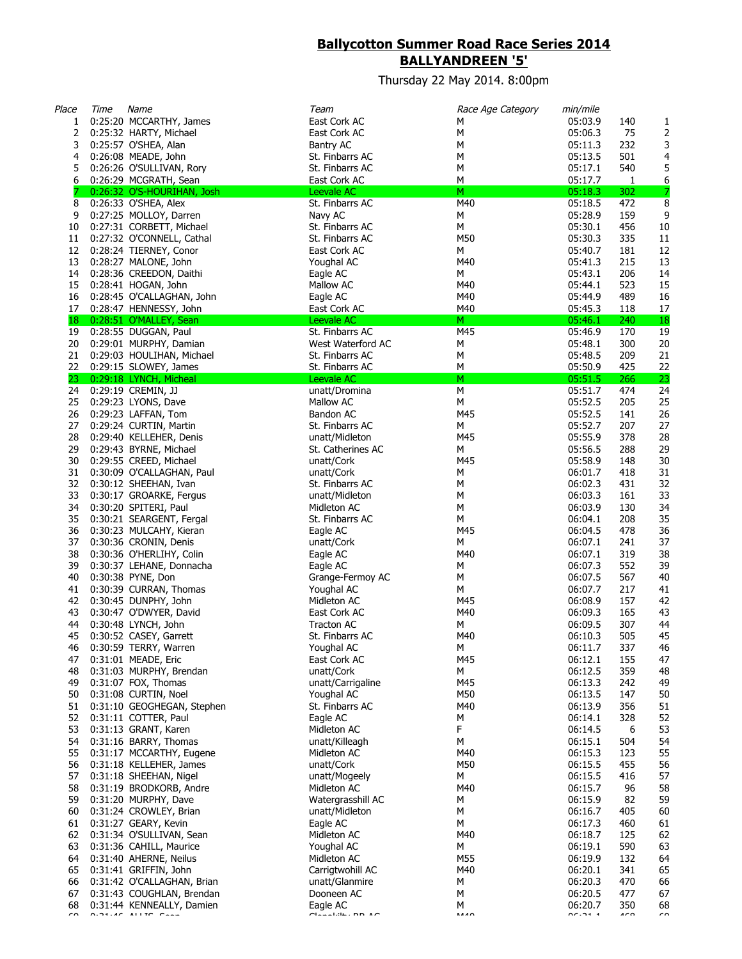## **Ballycotton Summer Road Race Series 2014 BALLYANDREEN '5'**

Thursday 22 May 2014. 8:00pm

| Place    | Time | Name                                               | Team                                | Race Age Category | min/mile           |                 |           |
|----------|------|----------------------------------------------------|-------------------------------------|-------------------|--------------------|-----------------|-----------|
| 1        |      | 0:25:20 MCCARTHY, James                            | East Cork AC                        | М                 | 05:03.9            | 140             | 1         |
| 2        |      | 0:25:32 HARTY, Michael                             | East Cork AC                        | М                 | 05:06.3            | 75              | 2         |
| 3        |      | 0:25:57 O'SHEA, Alan                               | Bantry AC                           | М                 | 05:11.3            | 232             | 3         |
| 4        |      | 0:26:08 MEADE, John                                | St. Finbarrs AC                     | M                 | 05:13.5            | 501             | 4         |
| 5        |      | 0:26:26 O'SULLIVAN, Rory                           | St. Finbarrs AC                     | М                 | 05:17.1            | 540             | 5         |
| 6        |      | 0:26:29 MCGRATH, Sean                              | East Cork AC                        | М                 | 05:17.7            | $\mathbf{1}$    | 6         |
|          |      | 0:26:32 O'S-HOURIHAN, Josh                         | Leevale AC                          | M                 | 05:18.3            | 302             | 7         |
| 8        |      | 0:26:33 O'SHEA, Alex                               | St. Finbarrs AC                     | M40               | 05:18.5            | 472             | 8         |
| 9        |      | 0:27:25 MOLLOY, Darren<br>0:27:31 CORBETT, Michael | Navy AC                             | М                 | 05:28.9            | 159             | 9         |
| 10<br>11 |      | 0:27:32 O'CONNELL, Cathal                          | St. Finbarrs AC<br>St. Finbarrs AC  | М<br>M50          | 05:30.1<br>05:30.3 | 456<br>335      | 10<br>11  |
| 12       |      | 0:28:24 TIERNEY, Conor                             | East Cork AC                        | М                 | 05:40.7            | 181             |           |
| 13       |      | 0:28:27 MALONE, John                               | Youghal AC                          | M40               | 05:41.3            | 215             | 12<br>13  |
| 14       |      | 0:28:36 CREEDON, Daithi                            | Eagle AC                            | М                 | 05:43.1            | 206             | 14        |
| 15       |      | 0:28:41 HOGAN, John                                | Mallow AC                           | M40               | 05:44.1            | 523             | 15        |
| 16       |      | 0:28:45 O'CALLAGHAN, John                          | Eagle AC                            | M40               | 05:44.9            | 489             | 16        |
| 17       |      | 0:28:47 HENNESSY, John                             | East Cork AC                        | M40               | 05:45.3            | 118             | 17        |
| 18       |      | 0:28:51 O'MALLEY, Sean                             | Leevale AC                          | M                 | 05:46.1            | 240             | <b>18</b> |
| 19       |      | 0:28:55 DUGGAN, Paul                               | St. Finbarrs AC                     | M45               | 05:46.9            | 170             | 19        |
| 20       |      | 0:29:01 MURPHY, Damian                             | West Waterford AC                   | М                 | 05:48.1            | 300             | 20        |
| 21       |      | 0:29:03 HOULIHAN, Michael                          | St. Finbarrs AC                     | M                 | 05:48.5            | 209             | 21        |
| 22       |      | 0:29:15 SLOWEY, James                              | St. Finbarrs AC                     | М                 | 05:50.9            | 425             | 22        |
| 23       |      | 0:29:18 LYNCH, Micheal                             | Leevale AC                          | M                 | 05:51.5            | 266             | 23        |
| 24       |      | 0:29:19 CREMIN, JJ                                 | unatt/Dromina                       | M                 | 05:51.7            | 474             | 24        |
| 25       |      | 0:29:23 LYONS, Dave                                | Mallow AC                           | М                 | 05:52.5            | 205             | 25        |
| 26       |      | 0:29:23 LAFFAN, Tom                                | Bandon AC                           | M45               | 05:52.5            | 141             | 26        |
| 27       |      | 0:29:24 CURTIN, Martin                             | St. Finbarrs AC                     | М                 | 05:52.7            | 207             | 27        |
| 28       |      | 0:29:40 KELLEHER, Denis                            | unatt/Midleton                      | M45               | 05:55.9            | 378             | 28        |
| 29       |      | 0:29:43 BYRNE, Michael                             | St. Catherines AC                   | М                 | 05:56.5            | 288             | 29        |
| 30       |      | 0:29:55 CREED, Michael                             | unatt/Cork                          | M45               | 05:58.9            | 148             | 30        |
| 31       |      | 0:30:09 O'CALLAGHAN, Paul                          | unatt/Cork                          | М                 | 06:01.7            | 418             | 31        |
| 32       |      | 0:30:12 SHEEHAN, Ivan                              | St. Finbarrs AC                     | М                 | 06:02.3            | 431             | 32        |
| 33       |      | 0:30:17 GROARKE, Fergus                            | unatt/Midleton                      | М                 | 06:03.3            | 161             | 33        |
| 34       |      | 0:30:20 SPITERI, Paul                              | Midleton AC                         | М                 | 06:03.9            | 130             | 34        |
| 35       |      | 0:30:21 SEARGENT, Fergal                           | St. Finbarrs AC                     | М                 | 06:04.1            | 208             | 35        |
| 36<br>37 |      | 0:30:23 MULCAHY, Kieran                            | Eagle AC                            | M45<br>М          | 06:04.5<br>06:07.1 | 478<br>241      | 36<br>37  |
| 38       |      | 0:30:36 CRONIN, Denis<br>0:30:36 O'HERLIHY, Colin  | unatt/Cork<br>Eagle AC              | M40               | 06:07.1            | 319             | 38        |
| 39       |      | 0:30:37 LEHANE, Donnacha                           | Eagle AC                            | м                 | 06:07.3            | 552             | 39        |
| 40       |      | 0:30:38 PYNE, Don                                  | Grange-Fermoy AC                    | М                 | 06:07.5            | 567             | $40\,$    |
| 41       |      | 0:30:39 CURRAN, Thomas                             | Youghal AC                          | М                 | 06:07.7            | 217             | 41        |
| 42       |      | 0:30:45 DUNPHY, John                               | Midleton AC                         | M45               | 06:08.9            | 157             | 42        |
| 43       |      | 0:30:47 O'DWYER, David                             | East Cork AC                        | M40               | 06:09.3            | 165             | 43        |
| 44       |      | 0:30:48 LYNCH, John                                | Tracton AC                          | м                 | 06:09.5            | 307             | 44        |
| 45       |      | 0:30:52 CASEY, Garrett                             | St. Finbarrs AC                     | M40               | 06:10.3            | 505             | 45        |
| 46       |      | 0:30:59 TERRY, Warren                              | Youghal AC                          | М                 | 06:11.7            | 337             | 46        |
| 47       |      | 0:31:01 MEADE, Eric                                | East Cork AC                        | M45               | 06:12.1            | 155             | 47        |
| 48       |      | 0:31:03 MURPHY, Brendan                            | unatt/Cork                          | М                 | 06:12.5            | 359             | 48        |
| 49       |      | 0:31:07 FOX, Thomas                                | unatt/Carrigaline                   | M45               | 06:13.3            | 242             | 49        |
| 50       |      | 0:31:08 CURTIN, Noel                               | Youghal AC                          | M50               | 06:13.5            | 147             | 50        |
| 51       |      | 0:31:10 GEOGHEGAN, Stephen                         | St. Finbarrs AC                     | M40               | 06:13.9            | 356             | 51        |
| 52       |      | 0:31:11 COTTER, Paul                               | Eagle AC                            | М                 | 06:14.1            | 328             | 52        |
| 53       |      | 0:31:13 GRANT, Karen                               | Midleton AC                         | F                 | 06:14.5            | 6               | 53        |
| 54       |      | 0:31:16 BARRY, Thomas                              | unatt/Killeagh                      | М                 | 06:15.1            | 504             | 54        |
| 55       |      | 0:31:17 MCCARTHY, Eugene                           | Midleton AC                         | M40               | 06:15.3            | 123             | 55        |
| 56       |      | 0:31:18 KELLEHER, James                            | unatt/Cork                          | M50               | 06:15.5            | 455             | 56        |
| 57       |      | 0:31:18 SHEEHAN, Nigel                             | unatt/Mogeely                       | М                 | 06:15.5            | 416             | 57        |
| 58       |      | 0:31:19 BRODKORB, Andre                            | Midleton AC                         | M40               | 06:15.7            | 96              | 58        |
| 59<br>60 |      | 0:31:20 MURPHY, Dave<br>0:31:24 CROWLEY, Brian     | Watergrasshill AC<br>unatt/Midleton | М<br>М            | 06:15.9<br>06:16.7 | 82<br>405       | 59<br>60  |
|          |      |                                                    |                                     |                   |                    |                 |           |
| 61<br>62 |      | 0:31:27 GEARY, Kevin<br>0:31:34 O'SULLIVAN, Sean   | Eagle AC<br>Midleton AC             | М<br>M40          | 06:17.3<br>06:18.7 | 460<br>125      | 61<br>62  |
| 63       |      | 0:31:36 CAHILL, Maurice                            | Youghal AC                          | М                 | 06:19.1            | 590             | 63        |
| 64       |      | 0:31:40 AHERNE, Neilus                             | Midleton AC                         | M55               | 06:19.9            | 132             | 64        |
| 65       |      | 0:31:41 GRIFFIN, John                              | Carrigtwohill AC                    | M40               | 06:20.1            | 341             | 65        |
| 66       |      | 0:31:42 O'CALLAGHAN, Brian                         | unatt/Glanmire                      | М                 | 06:20.3            | 470             | 66        |
| 67       |      | 0:31:43 COUGHLAN, Brendan                          | Dooneen AC                          | М                 | 06:20.5            | 477             | 67        |
| 68       |      | 0:31:44 KENNEALLY, Damien                          | Eagle AC                            | М                 | 06:20.7            | 350             | 68        |
| $\sim$   |      | $0.24 \cdot 10^{-4}$ all to $0.22$                 | $A = 1.06$ , $B = 1.00$             | <b>AAAO</b>       | 0.00000000         | 10 <sub>0</sub> | $\sim$    |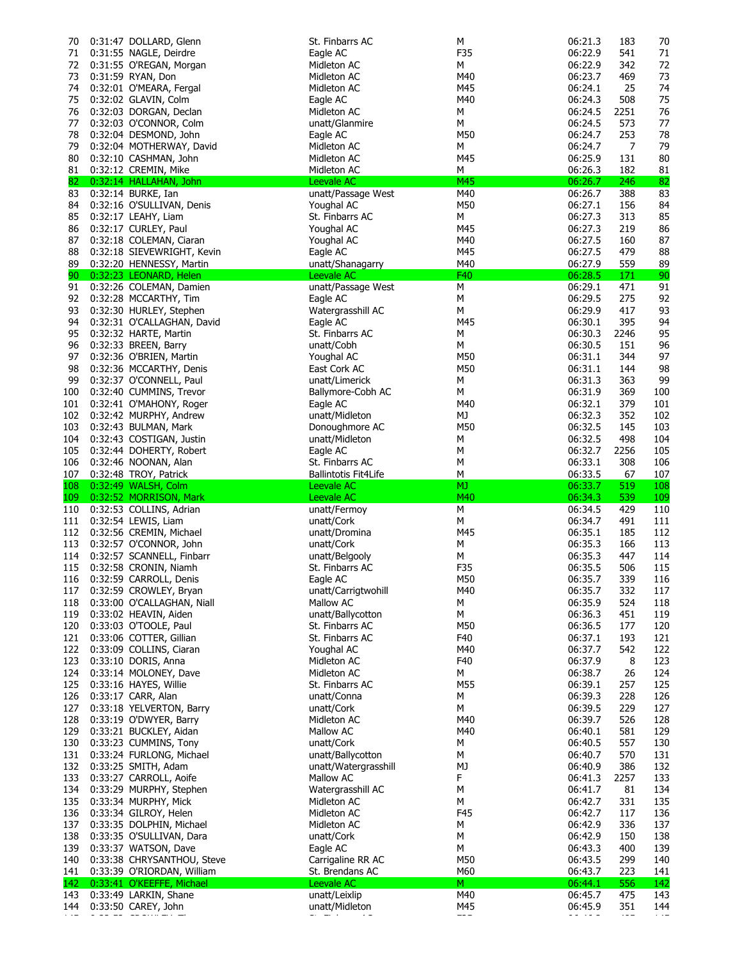| 70  | 0:31:47 DOLLARD, Glenn         | St. Finbarrs AC      | М   | 06:21.3 | 183  | 70  |
|-----|--------------------------------|----------------------|-----|---------|------|-----|
| 71  | 0:31:55 NAGLE, Deirdre         | Eagle AC             | F35 | 06:22.9 | 541  | 71  |
| 72  | 0:31:55 O'REGAN, Morgan        | Midleton AC          | М   | 06:22.9 | 342  | 72  |
| 73  | 0:31:59 RYAN, Don              | Midleton AC          | M40 | 06:23.7 | 469  | 73  |
| 74  | 0:32:01 O'MEARA, Fergal        | Midleton AC          | M45 | 06:24.1 | 25   | 74  |
| 75  | 0:32:02 GLAVIN, Colm           | Eagle AC             | M40 | 06:24.3 | 508  | 75  |
|     |                                |                      |     |         |      |     |
| 76  | 0:32:03 DORGAN, Declan         | Midleton AC          | М   | 06:24.5 | 2251 | 76  |
| 77  | 0:32:03 O'CONNOR, Colm         | unatt/Glanmire       | М   | 06:24.5 | 573  | 77  |
| 78  | 0:32:04 DESMOND, John          | Eagle AC             | M50 | 06:24.7 | 253  | 78  |
| 79  | 0:32:04 MOTHERWAY, David       | Midleton AC          | М   | 06:24.7 | 7    | 79  |
| 80  | 0:32:10 CASHMAN, John          | Midleton AC          | M45 | 06:25.9 | 131  | 80  |
| 81  | 0:32:12 CREMIN, Mike           | Midleton AC          | М   | 06:26.3 | 182  |     |
|     |                                |                      |     |         |      | 81  |
| 82  | 0:32:14 HALLAHAN, John         | Leevale AC           | M45 | 06:26.7 | 246  | 82  |
| 83  | 0:32:14 BURKE, Ian             | unatt/Passage West   | M40 | 06:26.7 | 388  | 83  |
| 84  | 0:32:16 O'SULLIVAN, Denis      | Youghal AC           | M50 | 06:27.1 | 156  | 84  |
| 85  | 0:32:17 LEAHY, Liam            | St. Finbarrs AC      | М   | 06:27.3 | 313  | 85  |
| 86  | 0:32:17 CURLEY, Paul           | Youghal AC           | M45 | 06:27.3 | 219  | 86  |
| 87  | 0:32:18 COLEMAN, Ciaran        | Youghal AC           | M40 | 06:27.5 | 160  | 87  |
| 88  | 0:32:18 SIEVEWRIGHT, Kevin     | Eagle AC             | M45 | 06:27.5 | 479  | 88  |
|     |                                |                      |     |         |      |     |
| 89  | 0:32:20 HENNESSY, Martin       | unatt/Shanagarry     | M40 | 06:27.9 | 559  | 89  |
| 90  | 0:32:23 LEONARD, Helen         | Leevale AC           | F40 | 06:28.5 | 171  | 90  |
| 91  | 0:32:26 COLEMAN, Damien        | unatt/Passage West   | М   | 06:29.1 | 471  | 91  |
| 92  | 0:32:28 MCCARTHY, Tim          | Eagle AC             | М   | 06:29.5 | 275  | 92  |
| 93  | 0:32:30 HURLEY, Stephen        | Watergrasshill AC    | М   | 06:29.9 | 417  | 93  |
| 94  | 0:32:31 O'CALLAGHAN, David     | Eagle AC             | M45 | 06:30.1 | 395  | 94  |
| 95  | 0:32:32 HARTE, Martin          | St. Finbarrs AC      | М   | 06:30.3 | 2246 | 95  |
| 96  |                                | unatt/Cobh           | М   | 06:30.5 |      | 96  |
|     | 0:32:33 BREEN, Barry           |                      |     |         | 151  |     |
| 97  | 0:32:36 O'BRIEN, Martin        | Youghal AC           | M50 | 06:31.1 | 344  | 97  |
| 98  | 0:32:36 MCCARTHY, Denis        | East Cork AC         | M50 | 06:31.1 | 144  | 98  |
| 99  | 0:32:37 O'CONNELL, Paul        | unatt/Limerick       | М   | 06:31.3 | 363  | 99  |
| 100 | 0:32:40 CUMMINS, Trevor        | Ballymore-Cobh AC    | М   | 06:31.9 | 369  | 100 |
| 101 | 0:32:41 O'MAHONY, Roger        | Eagle AC             | M40 | 06:32.1 | 379  | 101 |
| 102 | 0:32:42 MURPHY, Andrew         | unatt/Midleton       | МJ  | 06:32.3 | 352  | 102 |
| 103 | 0:32:43 BULMAN, Mark           |                      | M50 | 06:32.5 | 145  | 103 |
|     |                                | Donoughmore AC       |     |         |      |     |
| 104 | 0:32:43 COSTIGAN, Justin       | unatt/Midleton       | М   | 06:32.5 | 498  | 104 |
| 105 | 0:32:44 DOHERTY, Robert        | Eagle AC             | М   | 06:32.7 | 2256 | 105 |
| 106 | 0:32:46 NOONAN, Alan           | St. Finbarrs AC      | М   | 06:33.1 | 308  | 106 |
| 107 | 0:32:48 TROY, Patrick          | Ballintotis Fit4Life | М   | 06:33.5 | 67   | 107 |
|     |                                |                      |     |         |      |     |
| 108 | 0:32:49 WALSH, Colm            | Leevale AC           | MJ  | 06:33.7 | 519  | 108 |
| 109 | 0:32:52 MORRISON, Mark         | Leevale AC           | M40 | 06:34.3 | 539  | 109 |
|     |                                |                      |     |         |      |     |
| 110 | 0:32:53 COLLINS, Adrian        | unatt/Fermoy         | М   | 06:34.5 | 429  | 110 |
| 111 | 0:32:54 LEWIS, Liam            | unatt/Cork           | М   | 06:34.7 | 491  | 111 |
| 112 | 0:32:56 CREMIN, Michael        | unatt/Dromina        | M45 | 06:35.1 | 185  | 112 |
| 113 | 0:32:57 O'CONNOR, John         | unatt/Cork           | М   | 06:35.3 | 166  | 113 |
| 114 | 0:32:57 SCANNELL, Finbarr      | unatt/Belgooly       | М   | 06:35.3 | 447  | 114 |
| 115 | 0:32:58 CRONIN, Niamh          | St. Finbarrs AC      | F35 | 06:35.5 | 506  | 115 |
| 116 | 0:32:59 CARROLL, Denis         | Eagle AC             | M50 | 06:35.7 | 339  | 116 |
|     |                                |                      | M40 |         |      |     |
| 117 | 0:32:59 CROWLEY, Bryan         | unatt/Carrigtwohill  |     | 06:35.7 | 332  | 117 |
| 118 | 0:33:00 O'CALLAGHAN, Niall     | Mallow AC            | М   | 06:35.9 | 524  | 118 |
| 119 | 0:33:02 HEAVIN, Aiden          | unatt/Ballycotton    | М   | 06:36.3 | 451  | 119 |
| 120 | 0:33:03 O'TOOLE, Paul          | St. Finbarrs AC      | M50 | 06:36.5 | 177  | 120 |
| 121 | 0:33:06 COTTER, Gillian        | St. Finbarrs AC      | F40 | 06:37.1 | 193  | 121 |
| 122 | 0:33:09 COLLINS, Ciaran        | Youghal AC           | M40 | 06:37.7 | 542  | 122 |
| 123 | 0:33:10 DORIS, Anna            | Midleton AC          | F40 | 06:37.9 | 8    | 123 |
| 124 | 0:33:14 MOLONEY, Dave          | Midleton AC          | М   | 06:38.7 | 26   | 124 |
| 125 |                                | St. Finbarrs AC      |     | 06:39.1 | 257  | 125 |
|     | 0:33:16 HAYES, Willie          |                      | M55 |         |      |     |
| 126 | 0:33:17 CARR, Alan             | unatt/Conna          | М   | 06:39.3 | 228  | 126 |
| 127 | 0:33:18 YELVERTON, Barry       | unatt/Cork           | М   | 06:39.5 | 229  | 127 |
| 128 | 0:33:19 O'DWYER, Barry         | Midleton AC          | M40 | 06:39.7 | 526  | 128 |
| 129 | 0:33:21 BUCKLEY, Aidan         | Mallow AC            | M40 | 06:40.1 | 581  | 129 |
| 130 | 0:33:23 CUMMINS, Tony          | unatt/Cork           | М   | 06:40.5 | 557  | 130 |
| 131 | 0:33:24 FURLONG, Michael       | unatt/Ballycotton    | М   | 06:40.7 | 570  | 131 |
| 132 | 0:33:25 SMITH, Adam            | unatt/Watergrasshill | МJ  | 06:40.9 | 386  | 132 |
| 133 | 0:33:27 CARROLL, Aoife         | Mallow AC            | F   | 06:41.3 | 2257 | 133 |
|     |                                |                      |     |         |      |     |
| 134 | 0:33:29 MURPHY, Stephen        | Watergrasshill AC    | М   | 06:41.7 | 81   | 134 |
| 135 | 0:33:34 MURPHY, Mick           | Midleton AC          | М   | 06:42.7 | 331  | 135 |
| 136 | 0:33:34 GILROY, Helen          | Midleton AC          | F45 | 06:42.7 | 117  | 136 |
| 137 | 0:33:35 DOLPHIN, Michael       | Midleton AC          | М   | 06:42.9 | 336  | 137 |
| 138 | 0:33:35 O'SULLIVAN, Dara       | unatt/Cork           | М   | 06:42.9 | 150  | 138 |
| 139 | 0:33:37 WATSON, Dave           | Eagle AC             | М   | 06:43.3 | 400  | 139 |
| 140 | 0:33:38 CHRYSANTHOU, Steve     | Carrigaline RR AC    | M50 | 06:43.5 | 299  | 140 |
|     |                                | St. Brendans AC      | M60 | 06:43.7 | 223  | 141 |
|     | 141 0:33:39 O'RIORDAN, William |                      |     |         |      |     |
| 142 | 0:33:41 O'KEEFFE, Michael      | Leevale AC           | M.  | 06:44.1 | 556  | 142 |
| 143 | 0:33:49 LARKIN, Shane          | unatt/Leixlip        | M40 | 06:45.7 | 475  | 143 |
| 144 | 0:33:50 CAREY, John            | unatt/Midleton       | M45 | 06:45.9 | 351  | 144 |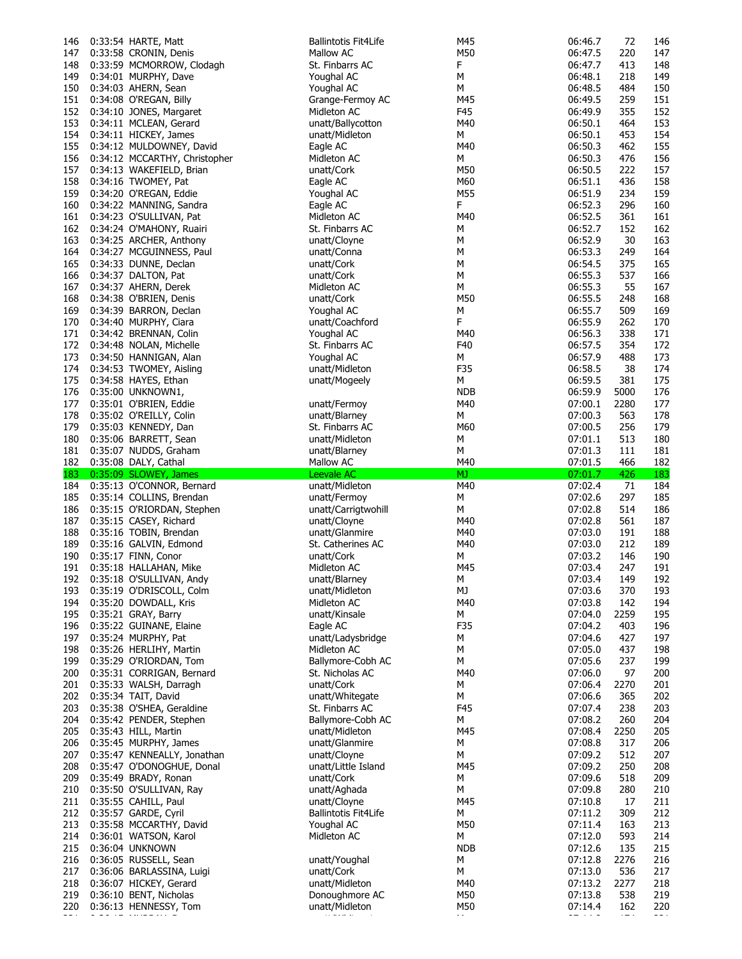| 146        | 0:33:54 HARTE, Matt                                   | <b>Ballintotis Fit4Life</b>      | M45        | 06:46.7            | 72         | 146        |
|------------|-------------------------------------------------------|----------------------------------|------------|--------------------|------------|------------|
| 147        | 0:33:58 CRONIN, Denis                                 | Mallow AC                        | M50        | 06:47.5            | 220        | 147        |
| 148        | 0:33:59 MCMORROW, Clodagh                             | St. Finbarrs AC                  | F          | 06:47.7            | 413        | 148        |
| 149        | 0:34:01 MURPHY, Dave                                  | Youghal AC                       | М          | 06:48.1            | 218        | 149        |
| 150        | 0:34:03 AHERN, Sean                                   | Youghal AC                       | М          | 06:48.5            | 484        | 150        |
| 151        | 0:34:08 O'REGAN, Billy                                | Grange-Fermoy AC                 | M45        | 06:49.5            | 259        | 151        |
| 152        | 0:34:10 JONES, Margaret                               | Midleton AC                      | F45        | 06:49.9            | 355        | 152        |
| 153        | 0:34:11 MCLEAN, Gerard                                | unatt/Ballycotton                | M40        | 06:50.1            | 464        | 153        |
| 154        | 0:34:11 HICKEY, James                                 | unatt/Midleton                   | М          | 06:50.1            | 453        | 154        |
| 155        | 0:34:12 MULDOWNEY, David                              | Eagle AC                         | M40        | 06:50.3            | 462        | 155        |
| 156        | 0:34:12 MCCARTHY, Christopher                         | Midleton AC                      | М          | 06:50.3            | 476        | 156        |
| 157        | 0:34:13 WAKEFIELD, Brian                              | unatt/Cork                       | M50        | 06:50.5            | 222        | 157        |
| 158        | 0:34:16 TWOMEY, Pat                                   | Eagle AC                         | M60        | 06:51.1            | 436        | 158        |
| 159        | 0:34:20 O'REGAN, Eddie                                | Youghal AC                       | M55        | 06:51.9            | 234        | 159        |
| 160        | 0:34:22 MANNING, Sandra                               | Eagle AC                         | F.         | 06:52.3            | 296        | 160        |
|            | 161 0:34:23 O'SULLIVAN, Pat                           | Midleton AC                      | M40        | 06:52.5            | 361        | 161        |
|            | 162 0:34:24 O'MAHONY, Ruairi                          | St. Finbarrs AC                  | М          | 06:52.7            | 152        | 162        |
| 163        | 0:34:25 ARCHER, Anthony                               | unatt/Cloyne                     | М          | 06:52.9            | 30         | 163        |
| 164        | 0:34:27 MCGUINNESS, Paul                              | unatt/Conna                      | М          | 06:53.3            | 249        | 164        |
| 165        | 0:34:33 DUNNE, Declan                                 | unatt/Cork                       | M          | 06:54.5            | 375        | 165        |
| 166        | 0:34:37 DALTON, Pat                                   | unatt/Cork                       | М          | 06:55.3            | 537        | 166        |
| 167        | 0:34:37 AHERN, Derek                                  | Midleton AC                      | М          | 06:55.3            | 55         | 167        |
| 168        | 0:34:38 O'BRIEN, Denis                                | unatt/Cork                       | M50        | 06:55.5            | 248        | 168        |
| 169        | 0:34:39 BARRON, Declan                                | Youghal AC                       | М          | 06:55.7            | 509        | 169        |
| 170        | 0:34:40 MURPHY, Ciara                                 | unatt/Coachford                  | F          | 06:55.9            | 262        | 170        |
| 171        | 0:34:42 BRENNAN, Colin                                | Youghal AC                       | M40        | 06:56.3            | 338        | 171        |
|            | 172 0:34:48 NOLAN, Michelle                           | St. Finbarrs AC                  | F40        | 06:57.5            | 354        | 172        |
| 173        | 0:34:50 HANNIGAN, Alan                                | Youghal AC                       | М          | 06:57.9            | 488        | 173        |
| 174        | 0:34:53 TWOMEY, Aisling                               | unatt/Midleton                   | F35        | 06:58.5            | 38         | 174        |
| 175        | 0:34:58 HAYES, Ethan                                  | unatt/Mogeely                    | М          | 06:59.5            | 381        | 175        |
| 176        | 0:35:00 UNKNOWN1,                                     |                                  | <b>NDB</b> | 06:59.9            | 5000       | 176        |
| 177        | 0:35:01 O'BRIEN, Eddie                                | unatt/Fermoy                     | M40        | 07:00.1            | 2280       | 177        |
| 178        | 0:35:02 O'REILLY, Colin                               | unatt/Blarney                    | М          | 07:00.3            | 563        | 178        |
| 179        | 0:35:03 KENNEDY, Dan                                  | St. Finbarrs AC                  | M60        | 07:00.5            | 256        | 179        |
| 180        | 0:35:06 BARRETT, Sean                                 | unatt/Midleton                   | М          | 07:01.1            | 513        | 180        |
| 181        | 0:35:07 NUDDS, Graham                                 | unatt/Blarney                    | М          | 07:01.3            | 111        | 181        |
|            | 182 0:35:08 DALY, Cathal<br>183 0:35:09 SLOWEY, James | Mallow AC<br>Leevale AC          | M40        | 07:01.5            | 466        | 182        |
|            |                                                       |                                  |            |                    |            |            |
|            |                                                       |                                  | MJ.        | 07:01.7            | 426        | 183        |
| 184        | 0:35:13 O'CONNOR, Bernard                             | unatt/Midleton                   | M40        | 07:02.4            | 71         | 184        |
| 185        | 0:35:14 COLLINS, Brendan                              | unatt/Fermoy                     | М          | 07:02.6            | 297        | 185        |
| 186        | 0:35:15 O'RIORDAN, Stephen                            | unatt/Carrigtwohill              | М          | 07:02.8            | 514        | 186        |
| 187        | 0:35:15 CASEY, Richard                                | unatt/Cloyne                     | M40        | 07:02.8            | 561        | 187        |
| 188        | 0:35:16 TOBIN, Brendan                                | unatt/Glanmire                   | M40        | 07:03.0            | 191        | 188        |
| 189        | 0:35:16 GALVIN, Edmond                                | St. Catherines AC                | M40        | 07:03.0            | 212        | 189        |
| 190        | 0:35:17 FINN, Conor                                   | unatt/Cork                       | М          | 07:03.2            | 146        | 190        |
| 191        | 0:35:18 HALLAHAN, Mike                                | Midleton AC                      | M45        | 07:03.4            | 247        | 191        |
|            | 192 0:35:18 O'SULLIVAN, Andy                          | unatt/Blarney                    | М          | 07:03.4            | 149        | 192        |
| 193        | 0:35:19 O'DRISCOLL, Colm                              | unatt/Midleton                   | МJ         | 07:03.6            | 370        | 193        |
| 194        | 0:35:20 DOWDALL, Kris                                 | Midleton AC                      | M40        | 07:03.8            | 142        | 194        |
|            | 195 0:35:21 GRAY, Barry                               | unatt/Kinsale                    | М          | 07:04.0            | 2259       | 195        |
| 196        | 0:35:22 GUINANE, Elaine                               | Eagle AC                         | F35        | 07:04.2            | 403        | 196        |
| 197        | 0:35:24 MURPHY, Pat                                   | unatt/Ladysbridge                | М          | 07:04.6            | 427        | 197        |
| 198        | 0:35:26 HERLIHY, Martin                               | Midleton AC                      | М          | 07:05.0            | 437        | 198        |
| 199        | 0:35:29 O'RIORDAN, Tom                                | Ballymore-Cobh AC                | М          | 07:05.6            | 237        | 199        |
| 200        | 0:35:31 CORRIGAN, Bernard                             | St. Nicholas AC                  | M40        | 07:06.0            | 97         | 200        |
| 201        | 0:35:33 WALSH, Darragh                                | unatt/Cork                       | М          | 07:06.4            | 2270       | 201        |
| 202        | 0:35:34 TAIT, David                                   | unatt/Whitegate                  | М          | 07:06.6            | 365        | 202        |
| 203        | 0:35:38 O'SHEA, Geraldine                             | St. Finbarrs AC                  | F45        | 07:07.4            | 238        | 203        |
| 204        | 0:35:42 PENDER, Stephen                               | Ballymore-Cobh AC                | М          | 07:08.2            | 260        | 204        |
| 205        | 0:35:43 HILL, Martin                                  | unatt/Midleton                   | M45        | 07:08.4            | 2250       | 205        |
| 206        | 0:35:45 MURPHY, James                                 | unatt/Glanmire                   | М          | 07:08.8            | 317        | 206        |
| 207        | 0:35:47 KENNEALLY, Jonathan                           | unatt/Cloyne                     | М          | 07:09.2            | 512        | 207        |
| 208        | 0:35:47 O'DONOGHUE, Donal                             | unatt/Little Island              | M45        | 07:09.2            | 250        | 208        |
| 209        | 0:35:49 BRADY, Ronan                                  | unatt/Cork                       | М          | 07:09.6            | 518        | 209        |
| 210        | 0:35:50 O'SULLIVAN, Ray                               | unatt/Aghada                     | М          | 07:09.8            | 280        | 210        |
| 211        | 0:35:55 CAHILL, Paul                                  | unatt/Cloyne                     | M45        | 07:10.8            | 17         | 211        |
| 212        | 0:35:57 GARDE, Cyril                                  | <b>Ballintotis Fit4Life</b>      | М          | 07:11.2            | 309        | 212        |
| 213        | 0:35:58 MCCARTHY, David                               | Youghal AC                       | M50        | 07:11.4            | 163        | 213        |
| 214        | 0:36:01 WATSON, Karol                                 | Midleton AC                      | М          | 07:12.0            | 593        | 214        |
| 215        | 0:36:04 UNKNOWN                                       |                                  | <b>NDB</b> | 07:12.6            | 135        | 215        |
| 216        | 0:36:05 RUSSELL, Sean                                 | unatt/Youghal                    | М          | 07:12.8            | 2276       | 216        |
| 217        | 0:36:06 BARLASSINA, Luigi                             | unatt/Cork                       | М          | 07:13.0            | 536        | 217        |
| 218        | 0:36:07 HICKEY, Gerard                                | unatt/Midleton                   | M40        | 07:13.2            | 2277       | 218        |
| 219<br>220 | 0:36:10 BENT, Nicholas<br>0:36:13 HENNESSY, Tom       | Donoughmore AC<br>unatt/Midleton | M50<br>M50 | 07:13.8<br>07:14.4 | 538<br>162 | 219<br>220 |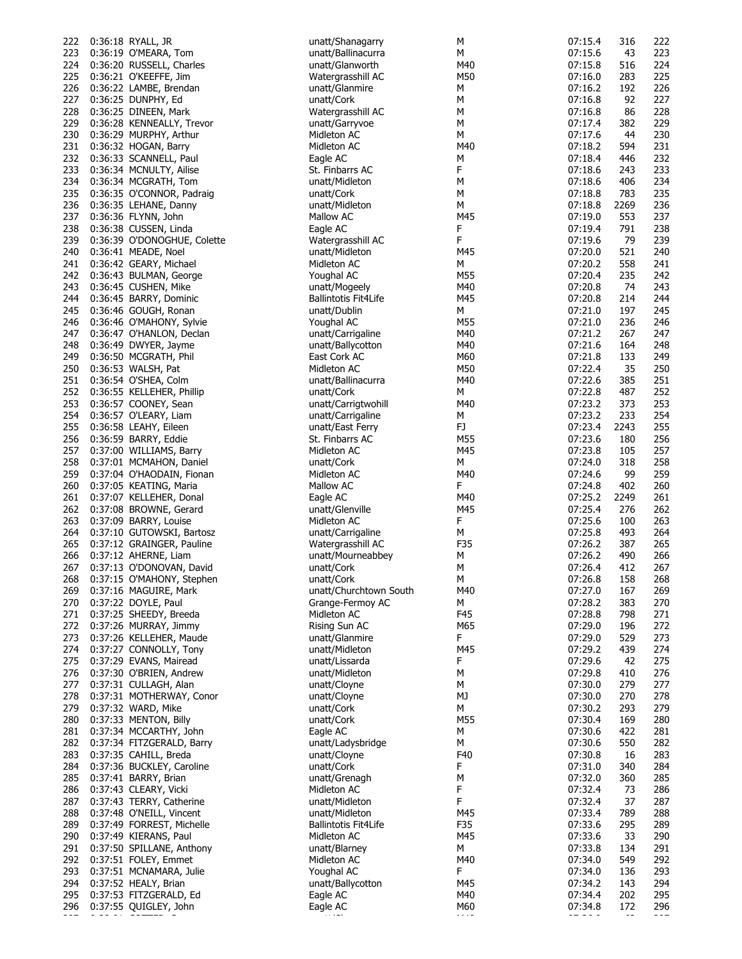| 222 | 0:36:18 RYALL, JR           | unatt/Shanagarry            | М   | 07:15.4 | 316  | 222 |
|-----|-----------------------------|-----------------------------|-----|---------|------|-----|
| 223 | 0:36:19 O'MEARA, Tom        | unatt/Ballinacurra          | М   | 07:15.6 | 43   | 223 |
| 224 | 0:36:20 RUSSELL, Charles    | unatt/Glanworth             | M40 | 07:15.8 | 516  | 224 |
| 225 |                             |                             | M50 | 07:16.0 | 283  | 225 |
|     | 0:36:21 O'KEEFFE, Jim       | Watergrasshill AC           |     |         |      |     |
| 226 | 0:36:22 LAMBE, Brendan      | unatt/Glanmire              | М   | 07:16.2 | 192  | 226 |
| 227 | 0:36:25 DUNPHY, Ed          | unatt/Cork                  | М   | 07:16.8 | 92   | 227 |
| 228 | 0:36:25 DINEEN, Mark        | Watergrasshill AC           | М   | 07:16.8 | 86   | 228 |
| 229 | 0:36:28 KENNEALLY, Trevor   |                             | М   | 07:17.4 | 382  | 229 |
|     |                             | unatt/Garryvoe              |     |         |      |     |
| 230 | 0:36:29 MURPHY, Arthur      | Midleton AC                 | М   | 07:17.6 | 44   | 230 |
| 231 | 0:36:32 HOGAN, Barry        | Midleton AC                 | M40 | 07:18.2 | 594  | 231 |
| 232 | 0:36:33 SCANNELL, Paul      | Eagle AC                    | М   | 07:18.4 | 446  | 232 |
|     |                             |                             |     |         |      |     |
| 233 | 0:36:34 MCNULTY, Ailise     | St. Finbarrs AC             | F   | 07:18.6 | 243  | 233 |
| 234 | 0:36:34 MCGRATH, Tom        | unatt/Midleton              | М   | 07:18.6 | 406  | 234 |
| 235 | 0:36:35 O'CONNOR, Padraig   | unatt/Cork                  | М   | 07:18.8 | 783  | 235 |
| 236 | 0:36:35 LEHANE, Danny       | unatt/Midleton              | М   | 07:18.8 | 2269 | 236 |
|     |                             |                             |     |         |      |     |
| 237 | 0:36:36 FLYNN, John         | Mallow AC                   | M45 | 07:19.0 | 553  | 237 |
| 238 | 0:36:38 CUSSEN, Linda       | Eagle AC                    | F   | 07:19.4 | 791  | 238 |
| 239 | 0:36:39 O'DONOGHUE, Colette | Watergrasshill AC           | F   | 07:19.6 | 79   | 239 |
|     |                             |                             |     |         |      |     |
| 240 | 0:36:41 MEADE, Noel         | unatt/Midleton              | M45 | 07:20.0 | 521  | 240 |
| 241 | 0:36:42 GEARY, Michael      | Midleton AC                 | М   | 07:20.2 | 558  | 241 |
| 242 | 0:36:43 BULMAN, George      | Youghal AC                  | M55 | 07:20.4 | 235  | 242 |
| 243 | 0:36:45 CUSHEN, Mike        | unatt/Mogeely               | M40 | 07:20.8 | 74   | 243 |
|     |                             |                             |     |         |      |     |
| 244 | 0:36:45 BARRY, Dominic      | <b>Ballintotis Fit4Life</b> | M45 | 07:20.8 | 214  | 244 |
| 245 | 0:36:46 GOUGH, Ronan        | unatt/Dublin                | М   | 07:21.0 | 197  | 245 |
| 246 | 0:36:46 O'MAHONY, Sylvie    | Youghal AC                  | M55 | 07:21.0 | 236  | 246 |
|     |                             |                             |     |         |      |     |
| 247 | 0:36:47 O'HANLON, Declan    | unatt/Carrigaline           | M40 | 07:21.2 | 267  | 247 |
| 248 | 0:36:49 DWYER, Jayme        | unatt/Ballycotton           | M40 | 07:21.6 | 164  | 248 |
| 249 | 0:36:50 MCGRATH, Phil       | East Cork AC                | M60 | 07:21.8 | 133  | 249 |
| 250 |                             | Midleton AC                 | M50 | 07:22.4 | 35   | 250 |
|     | 0:36:53 WALSH, Pat          |                             |     |         |      |     |
| 251 | 0:36:54 O'SHEA, Colm        | unatt/Ballinacurra          | M40 | 07:22.6 | 385  | 251 |
| 252 | 0:36:55 KELLEHER, Phillip   | unatt/Cork                  | М   | 07:22.8 | 487  | 252 |
| 253 | 0:36:57 COONEY, Sean        | unatt/Carrigtwohill         | M40 | 07:23.2 | 373  | 253 |
|     |                             |                             |     |         |      |     |
| 254 | 0:36:57 O'LEARY, Liam       | unatt/Carrigaline           | М   | 07:23.2 | 233  | 254 |
| 255 | 0:36:58 LEAHY, Eileen       | unatt/East Ferry            | FJ  | 07:23.4 | 2243 | 255 |
| 256 | 0:36:59 BARRY, Eddie        | St. Finbarrs AC             | M55 | 07:23.6 | 180  | 256 |
|     |                             |                             |     |         |      |     |
| 257 | 0:37:00 WILLIAMS, Barry     | Midleton AC                 | M45 | 07:23.8 | 105  | 257 |
| 258 | 0:37:01 MCMAHON, Daniel     | unatt/Cork                  | М   | 07:24.0 | 318  | 258 |
| 259 | 0:37:04 O'HAODAIN, Fionan   | Midleton AC                 | M40 | 07:24.6 | 99   | 259 |
| 260 | 0:37:05 KEATING, Maria      | Mallow AC                   | F   | 07:24.8 | 402  | 260 |
|     |                             |                             |     |         |      |     |
| 261 | 0:37:07 KELLEHER, Donal     | Eagle AC                    | M40 | 07:25.2 | 2249 | 261 |
| 262 | 0:37:08 BROWNE, Gerard      | unatt/Glenville             | M45 | 07:25.4 | 276  | 262 |
| 263 | 0:37:09 BARRY, Louise       | Midleton AC                 | F   | 07:25.6 | 100  | 263 |
|     |                             |                             |     |         |      |     |
| 264 | 0:37:10 GUTOWSKI, Bartosz   | unatt/Carrigaline           | М   | 07:25.8 | 493  | 264 |
| 265 | 0:37:12 GRAINGER, Pauline   | Watergrasshill AC           | F35 | 07:26.2 | 387  | 265 |
| 266 | 0:37:12 AHERNE, Liam        | unatt/Mourneabbey           | М   | 07:26.2 | 490  | 266 |
| 267 | 0:37:13 O'DONOVAN, David    | unatt/Cork                  | м   | 07:26.4 | 412  | 267 |
|     |                             |                             |     |         |      |     |
| 268 | 0:37:15 O'MAHONY, Stephen   | unatt/Cork                  | М   | 07:26.8 | 158  | 268 |
| 269 | 0:37:16 MAGUIRE, Mark       | unatt/Churchtown South      | M40 | 07:27.0 | 167  | 269 |
| 270 | 0:37:22 DOYLE, Paul         | Grange-Fermoy AC            | М   |         |      | 270 |
| 271 | 0:37:25 SHEEDY, Breeda      | Midleton AC                 |     |         |      |     |
|     |                             |                             |     | 07:28.2 | 383  |     |
| 272 |                             |                             | F45 | 07:28.8 | 798  | 271 |
| 273 | 0:37:26 MURRAY, Jimmy       | Rising Sun AC               | M65 | 07:29.0 | 196  | 272 |
| 274 |                             | unatt/Glanmire              | F   | 07:29.0 | 529  | 273 |
|     | 0:37:26 KELLEHER, Maude     |                             |     |         |      |     |
|     | 0:37:27 CONNOLLY, Tony      | unatt/Midleton              | M45 | 07:29.2 | 439  | 274 |
| 275 | 0:37:29 EVANS, Mairead      | unatt/Lissarda              | F   | 07:29.6 | 42   | 275 |
| 276 | 0:37:30 O'BRIEN, Andrew     | unatt/Midleton              | М   | 07:29.8 | 410  | 276 |
|     |                             | unatt/Cloyne                | М   | 07:30.0 | 279  | 277 |
| 277 | 0:37:31 CULLAGH, Alan       |                             |     |         |      |     |
| 278 | 0:37:31 MOTHERWAY, Conor    | unatt/Cloyne                | МJ  | 07:30.0 | 270  | 278 |
| 279 | 0:37:32 WARD, Mike          | unatt/Cork                  | М   | 07:30.2 | 293  | 279 |
| 280 | 0:37:33 MENTON, Billy       | unatt/Cork                  | M55 | 07:30.4 | 169  | 280 |
|     |                             |                             |     |         |      |     |
| 281 | 0:37:34 MCCARTHY, John      | Eagle AC                    | М   | 07:30.6 | 422  | 281 |
| 282 | 0:37:34 FITZGERALD, Barry   | unatt/Ladysbridge           | М   | 07:30.6 | 550  | 282 |
| 283 | 0:37:35 CAHILL, Breda       | unatt/Cloyne                | F40 | 07:30.8 | 16   | 283 |
| 284 | 0:37:36 BUCKLEY, Caroline   | unatt/Cork                  | F   | 07:31.0 | 340  | 284 |
|     |                             |                             |     |         |      |     |
| 285 | 0:37:41 BARRY, Brian        | unatt/Grenagh               | М   | 07:32.0 | 360  | 285 |
| 286 | 0:37:43 CLEARY, Vicki       | Midleton AC                 | F   | 07:32.4 | 73   | 286 |
| 287 | 0:37:43 TERRY, Catherine    | unatt/Midleton              | F   | 07:32.4 | 37   | 287 |
| 288 |                             | unatt/Midleton              | M45 | 07:33.4 | 789  | 288 |
|     | 0:37:48 O'NEILL, Vincent    |                             |     |         |      |     |
| 289 | 0:37:49 FORREST, Michelle   | <b>Ballintotis Fit4Life</b> | F35 | 07:33.6 | 295  | 289 |
| 290 | 0:37:49 KIERANS, Paul       | Midleton AC                 | M45 | 07:33.6 | 33   | 290 |
| 291 | 0:37:50 SPILLANE, Anthony   | unatt/Blarney               | М   | 07:33.8 | 134  | 291 |
|     |                             |                             | M40 |         |      |     |
| 292 | 0:37:51 FOLEY, Emmet        | Midleton AC                 |     | 07:34.0 | 549  | 292 |
| 293 | 0:37:51 MCNAMARA, Julie     | Youghal AC                  | F   | 07:34.0 | 136  | 293 |
| 294 | 0:37:52 HEALY, Brian        | unatt/Ballycotton           | M45 | 07:34.2 | 143  | 294 |
| 295 | 0:37:53 FITZGERALD, Ed      | Eagle AC                    | M40 | 07:34.4 | 202  | 295 |
|     |                             |                             |     |         |      |     |
| 296 | 0:37:55 QUIGLEY, John       | Eagle AC                    | M60 | 07:34.8 | 172  | 296 |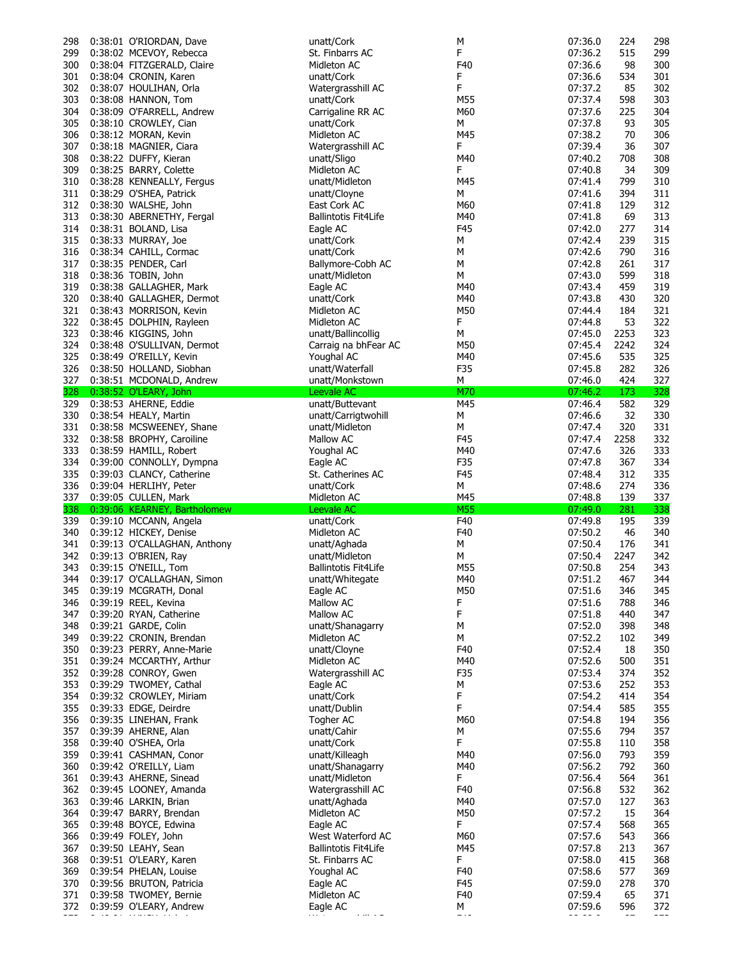| 298 | 0:38:01 O'RIORDAN, Dave          | unatt/Cork                  | М          | 07:36.0 | 224  | 298 |
|-----|----------------------------------|-----------------------------|------------|---------|------|-----|
| 299 | 0:38:02 MCEVOY, Rebecca          | St. Finbarrs AC             | F          | 07:36.2 | 515  | 299 |
|     |                                  |                             | F40        |         |      |     |
|     | 300 0:38:04 FITZGERALD, Claire   | Midleton AC                 |            | 07:36.6 | 98   | 300 |
| 301 | 0:38:04 CRONIN, Karen            | unatt/Cork                  | F          | 07:36.6 | 534  | 301 |
| 302 | 0:38:07 HOULIHAN, Orla           | Watergrasshill AC           | F          | 07:37.2 | 85   | 302 |
| 303 | 0:38:08 HANNON, Tom              | unatt/Cork                  | M55        | 07:37.4 | 598  | 303 |
|     |                                  |                             |            |         |      |     |
| 304 | 0:38:09 O'FARRELL, Andrew        | Carrigaline RR AC           | M60        | 07:37.6 | 225  | 304 |
| 305 | 0:38:10 CROWLEY, Cian            | unatt/Cork                  | М          | 07:37.8 | 93   | 305 |
|     |                                  | Midleton AC                 | M45        | 07:38.2 | 70   | 306 |
| 306 | 0:38:12 MORAN, Kevin             |                             |            |         |      |     |
| 307 | 0:38:18 MAGNIER, Ciara           | Watergrasshill AC           | F          | 07:39.4 | 36   | 307 |
| 308 | 0:38:22 DUFFY, Kieran            | unatt/Sligo                 | M40        | 07:40.2 | 708  | 308 |
|     |                                  |                             |            |         |      |     |
| 309 | 0:38:25 BARRY, Colette           | Midleton AC                 | F          | 07:40.8 | 34   | 309 |
| 310 | 0:38:28 KENNEALLY, Fergus        | unatt/Midleton              | M45        | 07:41.4 | 799  | 310 |
| 311 | 0:38:29 O'SHEA, Patrick          | unatt/Cloyne                | М          | 07:41.6 | 394  | 311 |
|     | 0:38:30 WALSHE, John             | East Cork AC                | M60        | 07:41.8 | 129  | 312 |
| 312 |                                  |                             |            |         |      |     |
| 313 | 0:38:30 ABERNETHY, Fergal        | <b>Ballintotis Fit4Life</b> | M40        | 07:41.8 | 69   | 313 |
| 314 | 0:38:31 BOLAND, Lisa             | Eagle AC                    | F45        | 07:42.0 | 277  | 314 |
| 315 | 0:38:33 MURRAY, Joe              | unatt/Cork                  | М          | 07:42.4 | 239  | 315 |
|     |                                  |                             |            |         |      |     |
| 316 | 0:38:34 CAHILL, Cormac           | unatt/Cork                  | М          | 07:42.6 | 790  | 316 |
| 317 | 0:38:35 PENDER, Carl             | Ballymore-Cobh AC           | М          | 07:42.8 | 261  | 317 |
| 318 | 0:38:36 TOBIN, John              | unatt/Midleton              | М          | 07:43.0 | 599  | 318 |
|     |                                  |                             |            |         |      |     |
| 319 | 0:38:38 GALLAGHER, Mark          | Eagle AC                    | M40        | 07:43.4 | 459  | 319 |
|     | 320 0:38:40 GALLAGHER, Dermot    | unatt/Cork                  | M40        | 07:43.8 | 430  | 320 |
| 321 | 0:38:43 MORRISON, Kevin          | Midleton AC                 | M50        | 07:44.4 | 184  | 321 |
|     |                                  |                             |            |         |      |     |
| 322 | 0:38:45 DOLPHIN, Rayleen         | Midleton AC                 | F          | 07:44.8 | 53   | 322 |
| 323 | 0:38:46 KIGGINS, John            | unatt/Ballincollig          | М          | 07:45.0 | 2253 | 323 |
| 324 | 0:38:48 O'SULLIVAN, Dermot       | Carraig na bhFear AC        | M50        | 07:45.4 | 2242 | 324 |
|     |                                  |                             |            |         |      |     |
| 325 | 0:38:49 O'REILLY, Kevin          | Youghal AC                  | M40        | 07:45.6 | 535  | 325 |
| 326 | 0:38:50 HOLLAND, Siobhan         | unatt/Waterfall             | F35        | 07:45.8 | 282  | 326 |
|     | 327 0:38:51 MCDONALD, Andrew     | unatt/Monkstown             | М          | 07:46.0 | 424  | 327 |
|     |                                  |                             |            |         |      |     |
|     | 328 0:38:52 O'LEARY, John        | Leevale AC                  | M70        | 07:46.2 | 173  | 328 |
|     | 329 0:38:53 AHERNE, Eddie        | unatt/Buttevant             | M45        | 07:46.4 | 582  | 329 |
| 330 | 0:38:54 HEALY, Martin            | unatt/Carrigtwohill         | М          | 07:46.6 | 32   | 330 |
|     |                                  |                             |            |         |      |     |
| 331 | 0:38:58 MCSWEENEY, Shane         | unatt/Midleton              | М          | 07:47.4 | 320  | 331 |
| 332 | 0:38:58 BROPHY, Caroiline        | Mallow AC                   | F45        | 07:47.4 | 2258 | 332 |
| 333 | 0:38:59 HAMILL, Robert           | Youghal AC                  | M40        | 07:47.6 | 326  | 333 |
|     |                                  |                             |            |         |      |     |
| 334 | 0:39:00 CONNOLLY, Dympna         | Eagle AC                    | F35        | 07:47.8 | 367  | 334 |
|     |                                  |                             |            |         |      | 335 |
| 335 |                                  | St. Catherines AC           | F45        | 07:48.4 | 312  |     |
|     | 0:39:03 CLANCY, Catherine        |                             |            |         |      |     |
| 336 | 0:39:04 HERLIHY, Peter           | unatt/Cork                  | М          | 07:48.6 | 274  | 336 |
| 337 | 0:39:05 CULLEN, Mark             | Midleton AC                 | M45        | 07:48.8 | 139  | 337 |
|     | 338 0:39:06 KEARNEY, Bartholomew | Leevale AC                  | <b>M55</b> | 07:49.0 | 281  | 338 |
|     |                                  |                             |            |         |      |     |
| 339 | 0:39:10 MCCANN, Angela           | unatt/Cork                  | F40        | 07:49.8 | 195  | 339 |
| 340 | 0:39:12 HICKEY, Denise           | Midleton AC                 | F40        | 07:50.2 | 46   | 340 |
| 341 | 0:39:13 O'CALLAGHAN, Anthony     | unatt/Aghada                | М          | 07:50.4 | 176  | 341 |
|     |                                  |                             |            |         | 2247 |     |
| 342 | 0:39:13 O'BRIEN, Ray             | unatt/Midleton              | М          | 07:50.4 |      | 342 |
| 343 | 0:39:15 O'NEILL, Tom             | <b>Ballintotis Fit4Life</b> | M55        | 07:50.8 | 254  | 343 |
|     | 344 0:39:17 O'CALLAGHAN, Simon   | unatt/Whitegate             | M40        | 07:51.2 | 467  | 344 |
|     |                                  |                             | M50        |         | 346  | 345 |
| 345 | 0:39:19 MCGRATH, Donal           | Eagle AC                    |            | 07:51.6 |      |     |
|     | 346 0:39:19 REEL, Kevina         | Mallow AC                   | F          | 07:51.6 | 788  | 346 |
|     | 347 0:39:20 RYAN, Catherine      | Mallow AC                   | F          | 07:51.8 | 440  | 347 |
| 348 | 0:39:21 GARDE, Colin             | unatt/Shanagarry            | М          | 07:52.0 | 398  | 348 |
|     |                                  |                             |            |         |      |     |
| 349 | 0:39:22 CRONIN, Brendan          | Midleton AC                 | М          | 07:52.2 | 102  | 349 |
| 350 | 0:39:23 PERRY, Anne-Marie        | unatt/Cloyne                | F40        | 07:52.4 | 18   | 350 |
| 351 | 0:39:24 MCCARTHY, Arthur         | Midleton AC                 | M40        | 07:52.6 | 500  | 351 |
|     |                                  |                             |            |         |      |     |
| 352 | 0:39:28 CONROY, Gwen             | Watergrasshill AC           | F35        | 07:53.4 | 374  | 352 |
| 353 | 0:39:29 TWOMEY, Cathal           | Eagle AC                    | М          | 07:53.6 | 252  | 353 |
| 354 | 0:39:32 CROWLEY, Miriam          | unatt/Cork                  | F          | 07:54.2 | 414  | 354 |
|     |                                  |                             |            |         |      |     |
| 355 | 0:39:33 EDGE, Deirdre            | unatt/Dublin                | F          | 07:54.4 | 585  | 355 |
| 356 | 0:39:35 LINEHAN, Frank           | Togher AC                   | M60        | 07:54.8 | 194  | 356 |
| 357 | 0:39:39 AHERNE, Alan             | unatt/Cahir                 | М          | 07:55.6 | 794  | 357 |
|     |                                  |                             | F          |         |      |     |
| 358 | 0:39:40 O'SHEA, Orla             | unatt/Cork                  |            | 07:55.8 | 110  | 358 |
| 359 | 0:39:41 CASHMAN, Conor           | unatt/Killeagh              | M40        | 07:56.0 | 793  | 359 |
| 360 | 0:39:42 O'REILLY, Liam           | unatt/Shanagarry            | M40        | 07:56.2 | 792  | 360 |
| 361 |                                  | unatt/Midleton              | F          | 07:56.4 | 564  | 361 |
|     | 0:39:43 AHERNE, Sinead           |                             |            |         |      |     |
| 362 | 0:39:45 LOONEY, Amanda           | Watergrasshill AC           | F40        | 07:56.8 | 532  | 362 |
| 363 | 0:39:46 LARKIN, Brian            | unatt/Aghada                | M40        | 07:57.0 | 127  | 363 |
| 364 |                                  | Midleton AC                 | M50        | 07:57.2 | 15   | 364 |
|     | 0:39:47 BARRY, Brendan           |                             |            |         |      |     |
| 365 | 0:39:48 BOYCE, Edwina            | Eagle AC                    | F          | 07:57.4 | 568  | 365 |
| 366 | 0:39:49 FOLEY, John              | West Waterford AC           | M60        | 07:57.6 | 543  | 366 |
| 367 | 0:39:50 LEAHY, Sean              | <b>Ballintotis Fit4Life</b> | M45        | 07:57.8 | 213  | 367 |
|     |                                  |                             |            |         |      |     |
| 368 | 0:39:51 O'LEARY, Karen           | St. Finbarrs AC             | F          | 07:58.0 | 415  | 368 |
| 369 | 0:39:54 PHELAN, Louise           | Youghal AC                  | F40        | 07:58.6 | 577  | 369 |
| 370 | 0:39:56 BRUTON, Patricia         | Eagle AC                    | F45        | 07:59.0 | 278  | 370 |
|     |                                  |                             |            |         |      |     |
| 371 | 0:39:58 TWOMEY, Bernie           | Midleton AC                 | F40        | 07:59.4 | 65   | 371 |
| 372 | 0:39:59 O'LEARY, Andrew          | Eagle AC<br>عادا مداء       | М<br>$ -$  | 07:59.6 | 596  | 372 |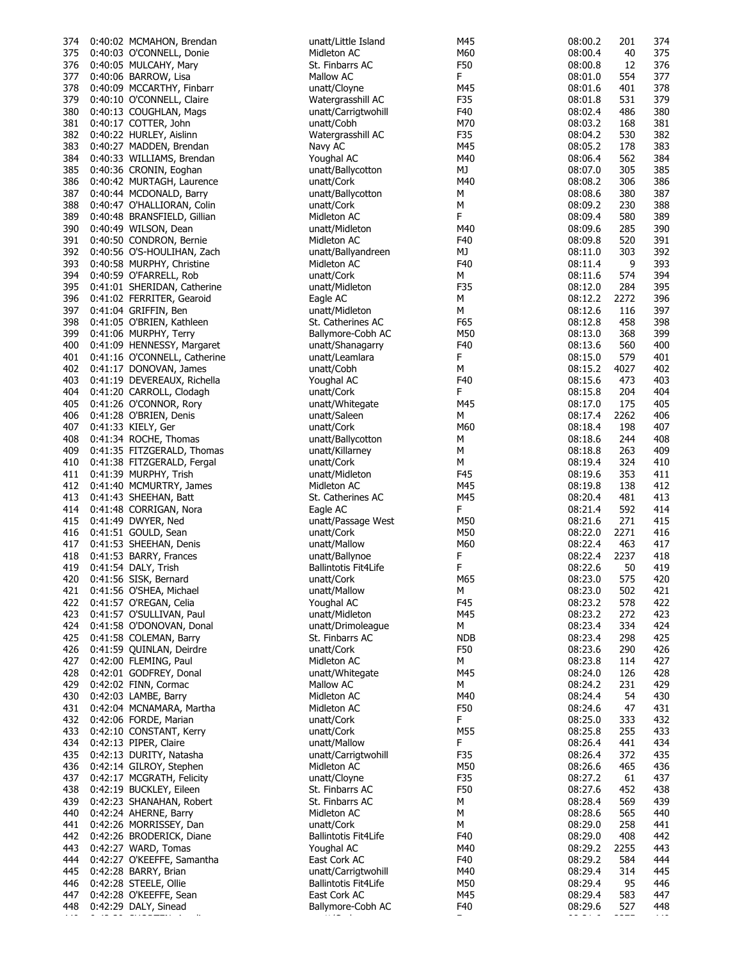| 374 |                            | 0:40:02 MCMAHON, Brendan     | unatt/Little Island         | M45        | 08:00.2 | 201  | 374 |
|-----|----------------------------|------------------------------|-----------------------------|------------|---------|------|-----|
| 375 |                            | 0:40:03 O'CONNELL, Donie     | Midleton AC                 | M60        | 08:00.4 | 40   | 375 |
| 376 | 0:40:05 MULCAHY, Mary      |                              | St. Finbarrs AC             | F50        | 08:00.8 | 12   | 376 |
| 377 | 0:40:06 BARROW, Lisa       |                              | Mallow AC                   | F.         | 08:01.0 | 554  | 377 |
| 378 |                            | 0:40:09 MCCARTHY, Finbarr    | unatt/Cloyne                | M45        | 08:01.6 | 401  | 378 |
| 379 |                            | 0:40:10 O'CONNELL, Claire    | Watergrasshill AC           | F35        | 08:01.8 | 531  | 379 |
|     |                            |                              |                             |            |         |      |     |
| 380 |                            | 0:40:13 COUGHLAN, Mags       | unatt/Carrigtwohill         | F40        | 08:02.4 | 486  | 380 |
| 381 | 0:40:17 COTTER, John       |                              | unatt/Cobh                  | M70        | 08:03.2 | 168  | 381 |
| 382 | 0:40:22 HURLEY, Aislinn    |                              | Watergrasshill AC           | F35        | 08:04.2 | 530  | 382 |
| 383 |                            | 0:40:27 MADDEN, Brendan      | Navy AC                     | M45        | 08:05.2 | 178  | 383 |
| 384 |                            | 0:40:33 WILLIAMS, Brendan    | Youghal AC                  | M40        | 08:06.4 | 562  | 384 |
| 385 | 0:40:36 CRONIN, Eoghan     |                              | unatt/Ballycotton           | МJ         | 08:07.0 | 305  | 385 |
| 386 |                            | 0:40:42 MURTAGH, Laurence    | unatt/Cork                  | M40        | 08:08.2 | 306  | 386 |
| 387 |                            |                              |                             |            | 08:08.6 | 380  | 387 |
|     |                            | 0:40:44 MCDONALD, Barry      | unatt/Ballycotton           | М          |         |      |     |
| 388 |                            | 0:40:47 O'HALLIORAN, Colin   | unatt/Cork                  | М          | 08:09.2 | 230  | 388 |
| 389 |                            | 0:40:48 BRANSFIELD, Gillian  | Midleton AC                 | F          | 08:09.4 | 580  | 389 |
| 390 | 0:40:49 WILSON, Dean       |                              | unatt/Midleton              | M40        | 08:09.6 | 285  | 390 |
| 391 |                            | 0:40:50 CONDRON, Bernie      | Midleton AC                 | F40        | 08:09.8 | 520  | 391 |
| 392 |                            | 0:40:56 O'S-HOULIHAN, Zach   | unatt/Ballyandreen          | МJ         | 08:11.0 | 303  | 392 |
| 393 |                            | 0:40:58 MURPHY, Christine    | Midleton AC                 | F40        | 08:11.4 | 9    | 393 |
| 394 | 0:40:59 O'FARRELL, Rob     |                              | unatt/Cork                  | M          | 08:11.6 | 574  | 394 |
| 395 |                            | 0:41:01 SHERIDAN, Catherine  | unatt/Midleton              | F35        | 08:12.0 | 284  | 395 |
|     |                            |                              |                             |            |         |      |     |
| 396 |                            | 0:41:02 FERRITER, Gearoid    | Eagle AC                    | М          | 08:12.2 | 2272 | 396 |
| 397 | 0:41:04 GRIFFIN, Ben       |                              | unatt/Midleton              | М          | 08:12.6 | 116  | 397 |
| 398 |                            | 0:41:05 O'BRIEN, Kathleen    | St. Catherines AC           | F65        | 08:12.8 | 458  | 398 |
| 399 | 0:41:06 MURPHY, Terry      |                              | Ballymore-Cobh AC           | M50        | 08:13.0 | 368  | 399 |
| 400 |                            | 0:41:09 HENNESSY, Margaret   | unatt/Shanagarry            | F40        | 08:13.6 | 560  | 400 |
| 401 |                            | 0:41:16 O'CONNELL, Catherine | unatt/Leamlara              | F          | 08:15.0 | 579  | 401 |
| 402 |                            | 0:41:17 DONOVAN, James       | unatt/Cobh                  | М          | 08:15.2 | 4027 | 402 |
| 403 |                            | 0:41:19 DEVEREAUX, Richella  | Youghal AC                  | F40        | 08:15.6 | 473  | 403 |
|     |                            |                              |                             |            |         |      |     |
| 404 |                            | 0:41:20 CARROLL, Clodagh     | unatt/Cork                  | F          | 08:15.8 | 204  | 404 |
| 405 | 0:41:26 O'CONNOR, Rory     |                              | unatt/Whitegate             | M45        | 08:17.0 | 175  | 405 |
| 406 | 0:41:28 O'BRIEN, Denis     |                              | unatt/Saleen                | М          | 08:17.4 | 2262 | 406 |
| 407 | 0:41:33 KIELY, Ger         |                              | unatt/Cork                  | M60        | 08:18.4 | 198  | 407 |
| 408 | 0:41:34 ROCHE, Thomas      |                              | unatt/Ballycotton           | М          | 08:18.6 | 244  | 408 |
| 409 |                            | 0:41:35 FITZGERALD, Thomas   | unatt/Killarney             | М          | 08:18.8 | 263  | 409 |
| 410 |                            | 0:41:38 FITZGERALD, Fergal   | unatt/Cork                  | M          | 08:19.4 | 324  | 410 |
| 411 | 0:41:39 MURPHY, Trish      |                              | unatt/Midleton              | F45        | 08:19.6 | 353  | 411 |
|     |                            |                              |                             |            |         |      |     |
| 412 |                            | 0:41:40 MCMURTRY, James      | Midleton AC                 | M45        | 08:19.8 | 138  | 412 |
| 413 | 0:41:43 SHEEHAN, Batt      |                              | St. Catherines AC           | M45        | 08:20.4 | 481  | 413 |
| 414 | 0:41:48 CORRIGAN, Nora     |                              | Eagle AC                    | F          | 08:21.4 | 592  | 414 |
| 415 | 0:41:49 DWYER, Ned         |                              | unatt/Passage West          | M50        | 08:21.6 | 271  | 415 |
| 416 | 0:41:51 GOULD, Sean        |                              | unatt/Cork                  | M50        | 08:22.0 | 2271 | 416 |
| 417 | 0:41:53 SHEEHAN, Denis     |                              | unatt/Mallow                | M60        | 08:22.4 | 463  | 417 |
| 418 | 0:41:53 BARRY, Frances     |                              | unatt/Ballynoe              | F          | 08:22.4 | 2237 | 418 |
| 419 | 0:41:54 DALY, Trish        |                              | <b>Ballintotis Fit4Life</b> | F          | 08:22.6 | 50   | 419 |
|     |                            |                              |                             |            |         |      |     |
| 420 | 0:41:56 SISK, Bernard      |                              | unatt/Cork                  | M65        | 08:23.0 | 575  | 420 |
| 421 | 0:41:56 O'SHEA, Michael    |                              | unatt/Mallow                | М          | 08:23.0 | 502  | 421 |
|     | 422 0:41:57 O'REGAN, Celia |                              | Youghal AC                  | F45        | 08:23.2 | 578  | 422 |
| 423 |                            | 0:41:57 O'SULLIVAN, Paul     | unatt/Midleton              | M45        | 08:23.2 | 272  | 423 |
| 424 |                            | 0:41:58 O'DONOVAN, Donal     | unatt/Drimoleague           | м          | 08:23.4 | 334  | 424 |
| 425 | 0:41:58 COLEMAN, Barry     |                              | St. Finbarrs AC             | <b>NDB</b> | 08:23.4 | 298  | 425 |
| 426 |                            | 0:41:59 QUINLAN, Deirdre     | unatt/Cork                  | F50        | 08:23.6 | 290  | 426 |
| 427 | 0:42:00 FLEMING, Paul      |                              | Midleton AC                 | м          | 08:23.8 | 114  | 427 |
|     |                            |                              |                             |            |         |      |     |
| 428 | 0:42:01 GODFREY, Donal     |                              | unatt/Whitegate             | M45        | 08:24.0 | 126  | 428 |
| 429 | 0:42:02 FINN, Cormac       |                              | Mallow AC                   | M          | 08:24.2 | 231  | 429 |
| 430 | 0:42:03 LAMBE, Barry       |                              | Midleton AC                 | M40        | 08:24.4 | 54   | 430 |
| 431 |                            | 0:42:04 MCNAMARA, Martha     | Midleton AC                 | F50        | 08:24.6 | 47   | 431 |
| 432 | 0:42:06 FORDE, Marian      |                              | unatt/Cork                  | F          | 08:25.0 | 333  | 432 |
| 433 |                            | 0:42:10 CONSTANT, Kerry      |                             | M55        | 08:25.8 | 255  | 433 |
| 434 |                            |                              |                             |            |         |      |     |
| 435 |                            |                              | unatt/Cork                  |            |         |      |     |
|     | 0:42:13 PIPER, Claire      |                              | unatt/Mallow                | F.         | 08:26.4 | 441  | 434 |
|     | 0:42:13 DURITY, Natasha    |                              | unatt/Carrigtwohill         | F35        | 08:26.4 | 372  | 435 |
| 436 |                            | 0:42:14 GILROY, Stephen      | Midleton AC                 | M50        | 08:26.6 | 465  | 436 |
| 437 |                            | 0:42:17 MCGRATH, Felicity    | unatt/Cloyne                | F35        | 08:27.2 | 61   | 437 |
| 438 | 0:42:19 BUCKLEY, Eileen    |                              | St. Finbarrs AC             | F50        | 08:27.6 | 452  | 438 |
| 439 |                            | 0:42:23 SHANAHAN, Robert     | St. Finbarrs AC             | М          | 08:28.4 | 569  | 439 |
| 440 | 0:42:24 AHERNE, Barry      |                              | Midleton AC                 | М          | 08:28.6 | 565  | 440 |
|     |                            |                              |                             |            |         |      |     |
| 441 |                            | 0:42:26 MORRISSEY, Dan       | unatt/Cork                  | М          | 08:29.0 | 258  | 441 |
| 442 |                            | 0:42:26 BRODERICK, Diane     | <b>Ballintotis Fit4Life</b> | F40        | 08:29.0 | 408  | 442 |
| 443 | 0:42:27 WARD, Tomas        |                              | Youghal AC                  | M40        | 08:29.2 | 2255 | 443 |
| 444 |                            | 0:42:27 O'KEEFFE, Samantha   | East Cork AC                | F40        | 08:29.2 | 584  | 444 |
| 445 | 0:42:28 BARRY, Brian       |                              | unatt/Carrigtwohill         | M40        | 08:29.4 | 314  | 445 |
| 446 | 0:42:28 STEELE, Ollie      |                              | <b>Ballintotis Fit4Life</b> | M50        | 08:29.4 | 95   | 446 |
| 447 | 0:42:28 O'KEEFFE, Sean     |                              | East Cork AC                | M45        | 08:29.4 | 583  | 447 |
| 448 | 0:42:29 DALY, Sinead       |                              | Ballymore-Cobh AC           | F40        | 08:29.6 | 527  | 448 |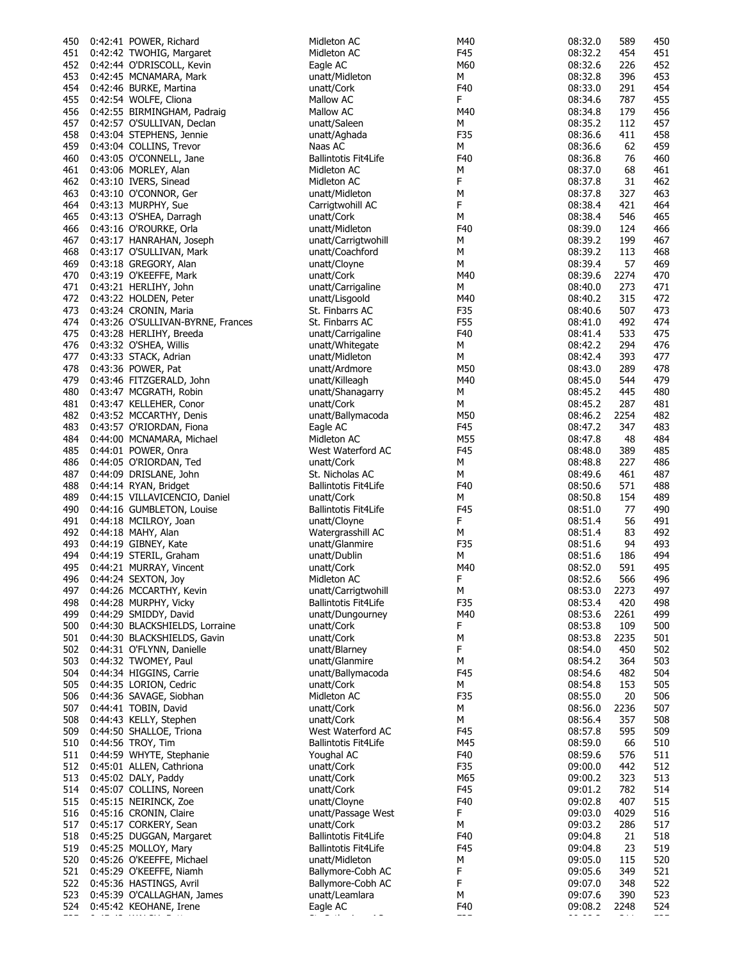| 450 | 0:42:41 POWER, Richard            | Midleton AC                 | M40 | 08:32.0 | 589  | 450 |
|-----|-----------------------------------|-----------------------------|-----|---------|------|-----|
| 451 | 0:42:42 TWOHIG, Margaret          | Midleton AC                 | F45 | 08:32.2 | 454  | 451 |
| 452 | 0:42:44 O'DRISCOLL, Kevin         | Eagle AC                    | M60 | 08:32.6 | 226  | 452 |
| 453 | 0:42:45 MCNAMARA, Mark            | unatt/Midleton              | М   | 08:32.8 | 396  | 453 |
| 454 | 0:42:46 BURKE, Martina            | unatt/Cork                  | F40 | 08:33.0 | 291  | 454 |
| 455 | 0:42:54 WOLFE, Cliona             | Mallow AC                   | F   | 08:34.6 | 787  | 455 |
|     |                                   |                             |     |         |      |     |
| 456 | 0:42:55 BIRMINGHAM, Padraig       | Mallow AC                   | M40 | 08:34.8 | 179  | 456 |
| 457 | 0:42:57 O'SULLIVAN, Declan        | unatt/Saleen                | М   | 08:35.2 | 112  | 457 |
| 458 | 0:43:04 STEPHENS, Jennie          | unatt/Aghada                | F35 | 08:36.6 | 411  | 458 |
| 459 | 0:43:04 COLLINS, Trevor           | Naas AC                     | М   | 08:36.6 | 62   | 459 |
| 460 | 0:43:05 O'CONNELL, Jane           | <b>Ballintotis Fit4Life</b> | F40 | 08:36.8 | 76   | 460 |
| 461 | 0:43:06 MORLEY, Alan              | Midleton AC                 | М   | 08:37.0 | 68   | 461 |
|     |                                   | Midleton AC                 | F   | 08:37.8 | 31   | 462 |
| 462 | 0:43:10 IVERS, Sinead             |                             |     |         |      |     |
| 463 | 0:43:10 O'CONNOR, Ger             | unatt/Midleton              | М   | 08:37.8 | 327  | 463 |
| 464 | 0:43:13 MURPHY, Sue               | Carrigtwohill AC            | F   | 08:38.4 | 421  | 464 |
| 465 | 0:43:13 O'SHEA, Darragh           | unatt/Cork                  | М   | 08:38.4 | 546  | 465 |
| 466 | 0:43:16 O'ROURKE, Orla            | unatt/Midleton              | F40 | 08:39.0 | 124  | 466 |
| 467 | 0:43:17 HANRAHAN, Joseph          | unatt/Carrigtwohill         | М   | 08:39.2 | 199  | 467 |
| 468 | 0:43:17 O'SULLIVAN, Mark          | unatt/Coachford             | М   | 08:39.2 | 113  | 468 |
| 469 | 0:43:18 GREGORY, Alan             | unatt/Cloyne                | М   | 08:39.4 | 57   | 469 |
|     |                                   |                             |     |         |      |     |
| 470 | 0:43:19 O'KEEFFE, Mark            | unatt/Cork                  | M40 | 08:39.6 | 2274 | 470 |
| 471 | 0:43:21 HERLIHY, John             | unatt/Carrigaline           | М   | 08:40.0 | 273  | 471 |
| 472 | 0:43:22 HOLDEN, Peter             | unatt/Lisgoold              | M40 | 08:40.2 | 315  | 472 |
| 473 | 0:43:24 CRONIN, Maria             | St. Finbarrs AC             | F35 | 08:40.6 | 507  | 473 |
| 474 | 0:43:26 O'SULLIVAN-BYRNE, Frances | St. Finbarrs AC             | F55 | 08:41.0 | 492  | 474 |
| 475 | 0:43:28 HERLIHY, Breeda           | unatt/Carrigaline           | F40 | 08:41.4 | 533  | 475 |
| 476 | 0:43:32 O'SHEA, Willis            | unatt/Whitegate             | М   | 08:42.2 | 294  | 476 |
|     |                                   |                             |     |         |      |     |
| 477 | 0:43:33 STACK, Adrian             | unatt/Midleton              | м   | 08:42.4 | 393  | 477 |
| 478 | 0:43:36 POWER, Pat                | unatt/Ardmore               | M50 | 08:43.0 | 289  | 478 |
| 479 | 0:43:46 FITZGERALD, John          | unatt/Killeagh              | M40 | 08:45.0 | 544  | 479 |
| 480 | 0:43:47 MCGRATH, Robin            | unatt/Shanagarry            | м   | 08:45.2 | 445  | 480 |
| 481 | 0:43:47 KELLEHER, Conor           | unatt/Cork                  | М   | 08:45.2 | 287  | 481 |
| 482 | 0:43:52 MCCARTHY, Denis           | unatt/Ballymacoda           | M50 | 08:46.2 | 2254 | 482 |
| 483 | 0:43:57 O'RIORDAN, Fiona          | Eagle AC                    | F45 | 08:47.2 | 347  | 483 |
|     |                                   |                             |     |         |      |     |
| 484 | 0:44:00 MCNAMARA, Michael         | Midleton AC                 | M55 | 08:47.8 | 48   | 484 |
| 485 | 0:44:01 POWER, Onra               | West Waterford AC           | F45 | 08:48.0 | 389  | 485 |
| 486 | 0:44:05 O'RIORDAN, Ted            | unatt/Cork                  | М   | 08:48.8 | 227  | 486 |
| 487 | 0:44:09 DRISLANE, John            | St. Nicholas AC             | М   | 08:49.6 | 461  | 487 |
| 488 | 0:44:14 RYAN, Bridget             | Ballintotis Fit4Life        | F40 | 08:50.6 | 571  | 488 |
| 489 | 0:44:15 VILLAVICENCIO, Daniel     | unatt/Cork                  | м   | 08:50.8 | 154  | 489 |
| 490 | 0:44:16 GUMBLETON, Louise         | <b>Ballintotis Fit4Life</b> | F45 | 08:51.0 | 77   | 490 |
| 491 | 0:44:18 MCILROY, Joan             | unatt/Cloyne                | F   | 08:51.4 | 56   | 491 |
|     |                                   |                             |     |         |      |     |
| 492 | 0:44:18 MAHY, Alan                | Watergrasshill AC           | М   | 08:51.4 | 83   | 492 |
| 493 | 0:44:19 GIBNEY, Kate              | unatt/Glanmire              | F35 | 08:51.6 | 94   | 493 |
| 494 | 0:44:19 STERIL, Graham            | unatt/Dublin                | М   | 08:51.6 | 186  | 494 |
| 495 | 0:44:21 MURRAY, Vincent           | unatt/Cork                  | M40 | 08:52.0 | 591  | 495 |
| 496 | 0:44:24 SEXTON, Joy               | Midleton AC                 | F   | 08:52.6 | 566  | 496 |
|     | 497 0:44:26 MCCARTHY, Kevin       | unatt/Carrigtwohill         | М   | 08:53.0 | 2273 | 497 |
| 498 | 0:44:28 MURPHY, Vicky             | <b>Ballintotis Fit4Life</b> | F35 | 08:53.4 | 420  | 498 |
| 499 | 0:44:29 SMIDDY, David             | unatt/Dungourney            | M40 | 08:53.6 | 2261 | 499 |
|     |                                   |                             |     |         |      |     |
| 500 | 0:44:30 BLACKSHIELDS, Lorraine    | unatt/Cork                  | F   | 08:53.8 | 109  | 500 |
| 501 | 0:44:30 BLACKSHIELDS, Gavin       | unatt/Cork                  | М   | 08:53.8 | 2235 | 501 |
| 502 | 0:44:31 O'FLYNN, Danielle         | unatt/Blarney               | F   | 08:54.0 | 450  | 502 |
| 503 | 0:44:32 TWOMEY, Paul              | unatt/Glanmire              | М   | 08:54.2 | 364  | 503 |
| 504 | 0:44:34 HIGGINS, Carrie           | unatt/Ballymacoda           | F45 | 08:54.6 | 482  | 504 |
| 505 | 0:44:35 LORION, Cedric            | unatt/Cork                  | M   | 08:54.8 | 153  | 505 |
| 506 | 0:44:36 SAVAGE, Siobhan           | Midleton AC                 | F35 | 08:55.0 | 20   | 506 |
| 507 | 0:44:41 TOBIN, David              | unatt/Cork                  | М   | 08:56.0 | 2236 | 507 |
|     |                                   | unatt/Cork                  |     |         |      |     |
| 508 | 0:44:43 KELLY, Stephen            |                             | М   | 08:56.4 | 357  | 508 |
| 509 | 0:44:50 SHALLOE, Triona           | West Waterford AC           | F45 | 08:57.8 | 595  | 509 |
| 510 | 0:44:56 TROY, Tim                 | <b>Ballintotis Fit4Life</b> | M45 | 08:59.0 | 66   | 510 |
| 511 | 0:44:59 WHYTE, Stephanie          | Youghal AC                  | F40 | 08:59.6 | 576  | 511 |
| 512 | 0:45:01 ALLEN, Cathriona          | unatt/Cork                  | F35 | 09:00.0 | 442  | 512 |
| 513 | 0:45:02 DALY, Paddy               | unatt/Cork                  | M65 | 09:00.2 | 323  | 513 |
| 514 | 0:45:07 COLLINS, Noreen           | unatt/Cork                  | F45 | 09:01.2 | 782  | 514 |
| 515 | 0:45:15 NEIRINCK, Zoe             | unatt/Cloyne                | F40 | 09:02.8 | 407  | 515 |
|     |                                   |                             | F   |         |      |     |
| 516 | 0:45:16 CRONIN, Claire            | unatt/Passage West          |     | 09:03.0 | 4029 | 516 |
| 517 | 0:45:17 CORKERY, Sean             | unatt/Cork                  | М   | 09:03.2 | 286  | 517 |
| 518 | 0:45:25 DUGGAN, Margaret          | <b>Ballintotis Fit4Life</b> | F40 | 09:04.8 | 21   | 518 |
| 519 | 0:45:25 MOLLOY, Mary              | <b>Ballintotis Fit4Life</b> | F45 | 09:04.8 | 23   | 519 |
| 520 | 0:45:26 O'KEEFFE, Michael         | unatt/Midleton              | М   | 09:05.0 | 115  | 520 |
| 521 | 0:45:29 O'KEEFFE, Niamh           | Ballymore-Cobh AC           | F   | 09:05.6 | 349  | 521 |
|     | 522 0:45:36 HASTINGS, Avril       | Ballymore-Cobh AC           | F   | 09:07.0 | 348  | 522 |
| 523 | 0:45:39 O'CALLAGHAN, James        | unatt/Leamlara              | М   | 09:07.6 | 390  | 523 |
| 524 | 0:45:42 KEOHANE, Irene            | Eagle AC                    | F40 | 09:08.2 | 2248 | 524 |
|     |                                   |                             |     |         |      |     |
|     |                                   |                             |     |         |      |     |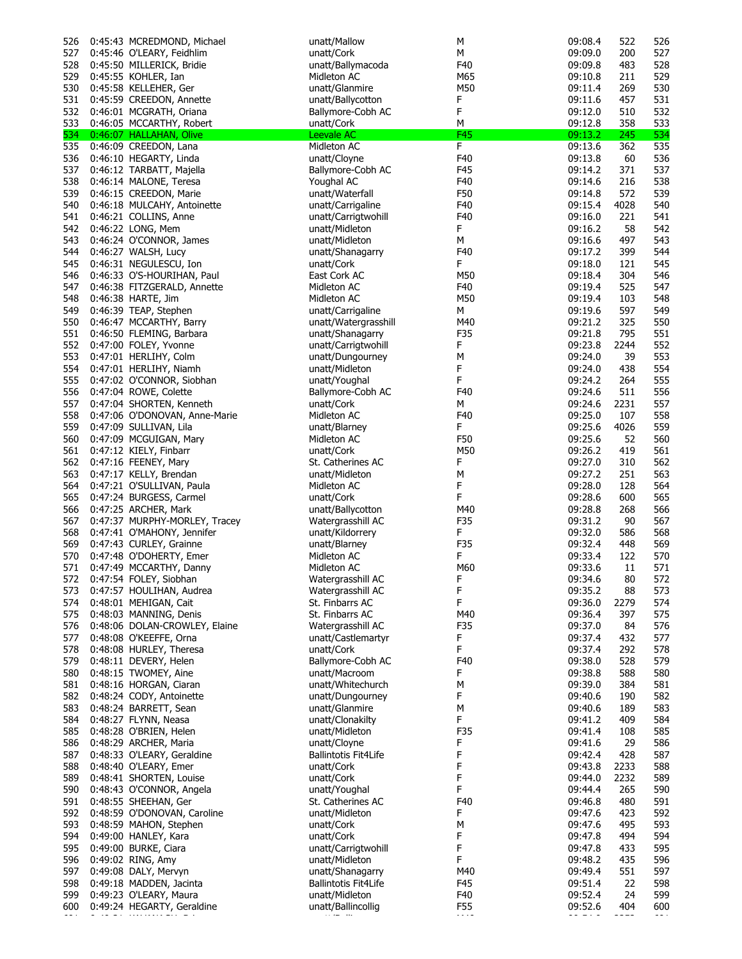| 526 | 0:45:43 MCREDMOND, Michael    | unatt/Mallow                | М   | 09:08.4 | 522  | 526 |
|-----|-------------------------------|-----------------------------|-----|---------|------|-----|
| 527 | 0:45:46 O'LEARY, Feidhlim     | unatt/Cork                  | М   | 09:09.0 | 200  | 527 |
| 528 | 0:45:50 MILLERICK, Bridie     | unatt/Ballymacoda           | F40 | 09:09.8 | 483  | 528 |
| 529 | 0:45:55 KOHLER, Ian           | Midleton AC                 | M65 | 09:10.8 | 211  | 529 |
| 530 | 0:45:58 KELLEHER, Ger         | unatt/Glanmire              | M50 | 09:11.4 | 269  | 530 |
| 531 | 0:45:59 CREEDON, Annette      | unatt/Ballycotton           | F   | 09:11.6 | 457  | 531 |
|     |                               |                             |     |         |      |     |
| 532 | 0:46:01 MCGRATH, Oriana       | Ballymore-Cobh AC           | F   | 09:12.0 | 510  | 532 |
| 533 | 0:46:05 MCCARTHY, Robert      | unatt/Cork                  | М   | 09:12.8 | 358  | 533 |
| 534 | 0:46:07 HALLAHAN, Olive       | Leevale AC                  | F45 | 09:13.2 | 245  | 534 |
| 535 | 0:46:09 CREEDON, Lana         | Midleton AC                 | F.  | 09:13.6 | 362  | 535 |
| 536 | 0:46:10 HEGARTY, Linda        | unatt/Cloyne                | F40 | 09:13.8 | 60   | 536 |
| 537 | 0:46:12 TARBATT, Majella      | Ballymore-Cobh AC           | F45 | 09:14.2 | 371  | 537 |
| 538 | 0:46:14 MALONE, Teresa        | Youghal AC                  | F40 | 09:14.6 | 216  | 538 |
|     |                               |                             |     |         |      |     |
| 539 | 0:46:15 CREEDON, Marie        | unatt/Waterfall             | F50 | 09:14.8 | 572  | 539 |
| 540 | 0:46:18 MULCAHY, Antoinette   | unatt/Carrigaline           | F40 | 09:15.4 | 4028 | 540 |
| 541 | 0:46:21 COLLINS, Anne         | unatt/Carrigtwohill         | F40 | 09:16.0 | 221  | 541 |
| 542 | 0:46:22 LONG, Mem             | unatt/Midleton              | F   | 09:16.2 | 58   | 542 |
| 543 | 0:46:24 O'CONNOR, James       | unatt/Midleton              | М   | 09:16.6 | 497  | 543 |
| 544 | 0:46:27 WALSH, Lucy           | unatt/Shanagarry            | F40 | 09:17.2 | 399  | 544 |
|     |                               |                             | F   |         |      |     |
| 545 | 0:46:31 NEGULESCU, Ion        | unatt/Cork                  |     | 09:18.0 | 121  | 545 |
| 546 | 0:46:33 O'S-HOURIHAN, Paul    | East Cork AC                | M50 | 09:18.4 | 304  | 546 |
| 547 | 0:46:38 FITZGERALD, Annette   | Midleton AC                 | F40 | 09:19.4 | 525  | 547 |
| 548 | 0:46:38 HARTE, Jim            | Midleton AC                 | M50 | 09:19.4 | 103  | 548 |
| 549 | 0:46:39 TEAP, Stephen         | unatt/Carrigaline           | М   | 09:19.6 | 597  | 549 |
| 550 | 0:46:47 MCCARTHY, Barry       | unatt/Watergrasshill        | M40 | 09:21.2 | 325  | 550 |
| 551 | 0:46:50 FLEMING, Barbara      | unatt/Shanagarry            | F35 | 09:21.8 | 795  | 551 |
|     |                               | unatt/Carrigtwohill         | F   | 09:23.8 | 2244 | 552 |
| 552 | 0:47:00 FOLEY, Yvonne         |                             |     |         |      |     |
| 553 | 0:47:01 HERLIHY, Colm         | unatt/Dungourney            | М   | 09:24.0 | 39   | 553 |
| 554 | 0:47:01 HERLIHY, Niamh        | unatt/Midleton              | F   | 09:24.0 | 438  | 554 |
| 555 | 0:47:02 O'CONNOR, Siobhan     | unatt/Youghal               | F   | 09:24.2 | 264  | 555 |
| 556 | 0:47:04 ROWE, Colette         | Ballymore-Cobh AC           | F40 | 09:24.6 | 511  | 556 |
| 557 | 0:47:04 SHORTEN, Kenneth      | unatt/Cork                  | М   | 09:24.6 | 2231 | 557 |
| 558 | 0:47:06 O'DONOVAN, Anne-Marie | Midleton AC                 | F40 | 09:25.0 | 107  | 558 |
| 559 | 0:47:09 SULLIVAN, Lila        | unatt/Blarney               | F   | 09:25.6 | 4026 | 559 |
|     |                               |                             |     |         |      |     |
| 560 | 0:47:09 MCGUIGAN, Mary        | Midleton AC                 | F50 | 09:25.6 | 52   | 560 |
| 561 | 0:47:12 KIELY, Finbarr        | unatt/Cork                  | M50 | 09:26.2 | 419  | 561 |
| 562 | 0:47:16 FEENEY, Mary          | St. Catherines AC           | F   | 09:27.0 | 310  | 562 |
| 563 | 0:47:17 KELLY, Brendan        | unatt/Midleton              | М   | 09:27.2 | 251  | 563 |
| 564 | 0:47:21 O'SULLIVAN, Paula     | Midleton AC                 | F   | 09:28.0 | 128  | 564 |
| 565 | 0:47:24 BURGESS, Carmel       | unatt/Cork                  | F   | 09:28.6 | 600  | 565 |
| 566 | 0:47:25 ARCHER, Mark          | unatt/Ballycotton           | M40 | 09:28.8 | 268  | 566 |
| 567 | 0:47:37 MURPHY-MORLEY, Tracey | Watergrasshill AC           | F35 | 09:31.2 | 90   | 567 |
|     |                               |                             |     |         |      |     |
| 568 | 0:47:41 O'MAHONY, Jennifer    | unatt/Kildorrery            | F   | 09:32.0 | 586  | 568 |
| 569 | 0:47:43 CURLEY, Grainne       | unatt/Blarney               | F35 | 09:32.4 | 448  | 569 |
| 570 | 0:47:48 O'DOHERTY, Emer       | Midleton AC                 | F   | 09:33.4 | 122  | 570 |
| 571 | 0:47:49 MCCARTHY, Danny       | Midleton AC                 | M60 | 09:33.6 | 11   | 571 |
| 572 | 0:47:54 FOLEY, Siobhan        | Watergrasshill AC           | F   | 09:34.6 | 80   | 572 |
| 573 | 0:47:57 HOULIHAN, Audrea      | Watergrasshill AC           | F   | 09:35.2 | 88   | 573 |
| 574 | 0:48:01 MEHIGAN, Cait         | St. Finbarrs AC             | F   | 09:36.0 | 2279 | 574 |
|     | 575 0:48:03 MANNING, Denis    | St. Finbarrs AC             | M40 | 09:36.4 | 397  | 575 |
|     |                               |                             |     |         |      |     |
| 576 | 0:48:06 DOLAN-CROWLEY, Elaine | Watergrasshill AC           | F35 | 09:37.0 | 84   | 576 |
| 577 | 0:48:08 O'KEEFFE, Orna        | unatt/Castlemartyr          | F.  | 09:37.4 | 432  | 577 |
| 578 | 0:48:08 HURLEY, Theresa       | unatt/Cork                  | F   | 09:37.4 | 292  | 578 |
| 579 | 0:48:11 DEVERY, Helen         | Ballymore-Cobh AC           | F40 | 09:38.0 | 528  | 579 |
| 580 | 0:48:15 TWOMEY, Aine          | unatt/Macroom               | F   | 09:38.8 | 588  | 580 |
| 581 | 0:48:16 HORGAN, Ciaran        | unatt/Whitechurch           | М   | 09:39.0 | 384  | 581 |
| 582 | 0:48:24 CODY, Antoinette      | unatt/Dungourney            | F   | 09:40.6 | 190  | 582 |
|     |                               | unatt/Glanmire              | М   | 09:40.6 | 189  | 583 |
| 583 | 0:48:24 BARRETT, Sean         |                             |     |         |      |     |
| 584 | 0:48:27 FLYNN, Neasa          | unatt/Clonakilty            | F   | 09:41.2 | 409  | 584 |
| 585 | 0:48:28 O'BRIEN, Helen        | unatt/Midleton              | F35 | 09:41.4 | 108  | 585 |
| 586 | 0:48:29 ARCHER, Maria         | unatt/Cloyne                | F   | 09:41.6 | 29   | 586 |
| 587 | 0:48:33 O'LEARY, Geraldine    | <b>Ballintotis Fit4Life</b> | F   | 09:42.4 | 428  | 587 |
| 588 | 0:48:40 O'LEARY, Emer         | unatt/Cork                  | F   | 09:43.8 | 2233 | 588 |
| 589 | 0:48:41 SHORTEN, Louise       | unatt/Cork                  | F   | 09:44.0 | 2232 | 589 |
| 590 | 0:48:43 O'CONNOR, Angela      | unatt/Youghal               | F   | 09:44.4 | 265  | 590 |
| 591 | 0:48:55 SHEEHAN, Ger          | St. Catherines AC           | F40 | 09:46.8 | 480  | 591 |
|     |                               |                             |     |         |      |     |
| 592 | 0:48:59 O'DONOVAN, Caroline   | unatt/Midleton              | F   | 09:47.6 | 423  | 592 |
| 593 | 0:48:59 MAHON, Stephen        | unatt/Cork                  | М   | 09:47.6 | 495  | 593 |
| 594 | 0:49:00 HANLEY, Kara          | unatt/Cork                  | F   | 09:47.8 | 494  | 594 |
| 595 | 0:49:00 BURKE, Ciara          | unatt/Carrigtwohill         | F   | 09:47.8 | 433  | 595 |
| 596 | 0:49:02 RING, Amy             | unatt/Midleton              | F   | 09:48.2 | 435  | 596 |
| 597 | 0:49:08 DALY, Mervyn          | unatt/Shanagarry            | M40 | 09:49.4 | 551  | 597 |
| 598 | 0:49:18 MADDEN, Jacinta       | <b>Ballintotis Fit4Life</b> | F45 | 09:51.4 | 22   | 598 |
|     |                               | unatt/Midleton              | F40 | 09:52.4 | 24   | 599 |
| 599 | 0:49:23 O'LEARY, Maura        |                             |     |         |      |     |
| 600 | 0:49:24 HEGARTY, Geraldine    | unatt/Ballincollig          | F55 | 09:52.6 | 404  | 600 |
|     |                               |                             |     |         |      |     |